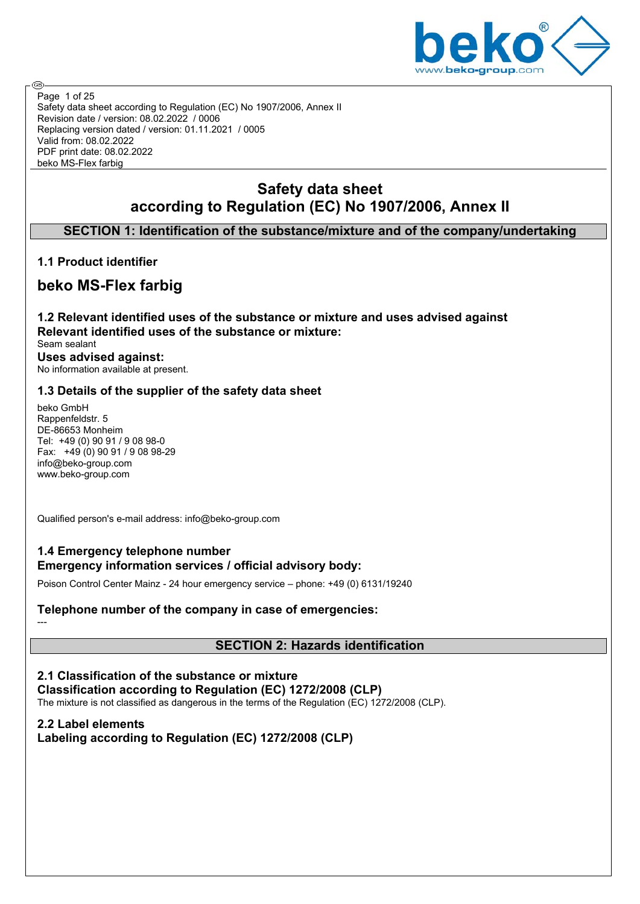

Safety data sheet according to Regulation (EC) No 1907/2006, Annex II Revision date / version: 08.02.2022 / 0006 Replacing version dated / version: 01.11.2021 / 0005 Valid from: 08.02.2022 PDF print date: 08.02.2022 beko MS-Flex farbig Page 1 of 25

# **Safety data sheet according to Regulation (EC) No 1907/2006, Annex II**

## **SECTION 1: Identification of the substance/mixture and of the company/undertaking**

## **1.1 Product identifier**

**ි** 

## **beko MS-Flex farbig**

**1.2 Relevant identified uses of the substance or mixture and uses advised against Relevant identified uses of the substance or mixture:** Seam sealant **Uses advised against:** No information available at present.

## **1.3 Details of the supplier of the safety data sheet**

beko GmbH Rappenfeldstr. 5 DE-86653 Monheim Tel: +49 (0) 90 91 / 9 08 98-0 Fax: +49 (0) 90 91 / 9 08 98-29 info@beko-group.com www.beko-group.com

Qualified person's e-mail address: info@beko-group.com

## **1.4 Emergency telephone number Emergency information services / official advisory body:**

Poison Control Center Mainz - 24 hour emergency service – phone: +49 (0) 6131/19240

## **Telephone number of the company in case of emergencies:**

---

## **SECTION 2: Hazards identification**

**2.1 Classification of the substance or mixture Classification according to Regulation (EC) 1272/2008 (CLP)** The mixture is not classified as dangerous in the terms of the Regulation (EC) 1272/2008 (CLP).

## **2.2 Label elements Labeling according to Regulation (EC) 1272/2008 (CLP)**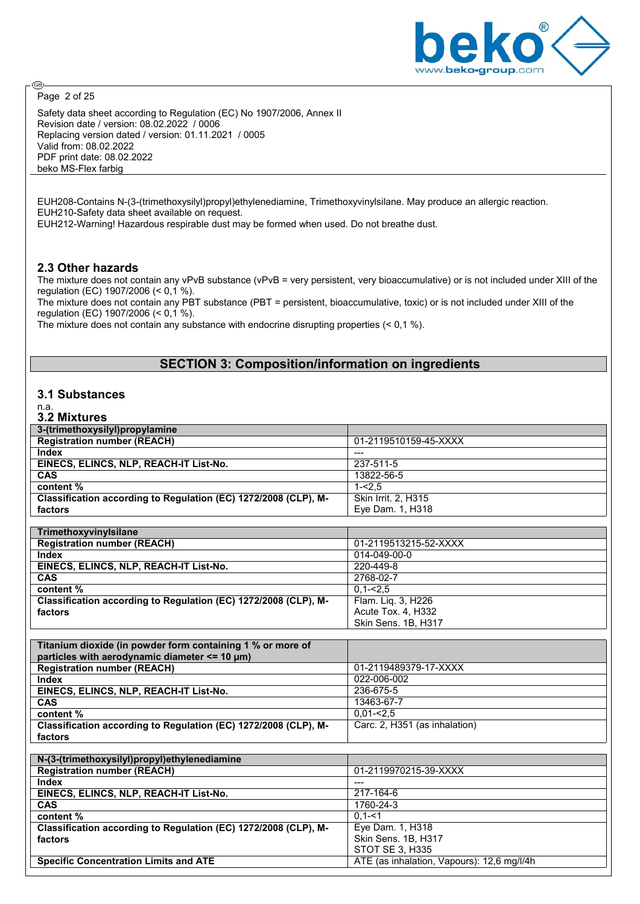

⊛ Page 2 of 25

Safety data sheet according to Regulation (EC) No 1907/2006, Annex II Revision date / version: 08.02.2022 / 0006 Replacing version dated / version: 01.11.2021 / 0005 Valid from: 08.02.2022 PDF print date: 08.02.2022 beko MS-Flex farbig

EUH208-Contains N-(3-(trimethoxysilyl)propyl)ethylenediamine, Trimethoxyvinylsilane. May produce an allergic reaction. EUH210-Safety data sheet available on request.

EUH212-Warning! Hazardous respirable dust may be formed when used. Do not breathe dust.

#### **2.3 Other hazards**

The mixture does not contain any vPvB substance (vPvB = very persistent, very bioaccumulative) or is not included under XIII of the regulation (EC) 1907/2006 (< 0,1 %).

The mixture does not contain any PBT substance (PBT = persistent, bioaccumulative, toxic) or is not included under XIII of the regulation (EC) 1907/2006 (< 0,1 %).

The mixture does not contain any substance with endocrine disrupting properties (< 0,1 %).

# **SECTION 3: Composition/information on ingredients**

#### **3.1 Substances**

#### n.a. **3.2 Mixtures**

| 3-(trimethoxysilyl)propylamine                                  |                                            |
|-----------------------------------------------------------------|--------------------------------------------|
| <b>Registration number (REACH)</b>                              | 01-2119510159-45-XXXX                      |
| <b>Index</b>                                                    |                                            |
| EINECS, ELINCS, NLP, REACH-IT List-No.                          | 237-511-5                                  |
| <b>CAS</b>                                                      | 13822-56-5                                 |
| content%                                                        | $1 - 2.5$                                  |
| Classification according to Regulation (EC) 1272/2008 (CLP), M- | <b>Skin Irrit. 2, H315</b>                 |
| factors                                                         | Eye Dam. 1, H318                           |
|                                                                 |                                            |
| Trimethoxyvinylsilane                                           |                                            |
| <b>Registration number (REACH)</b>                              | 01-2119513215-52-XXXX                      |
| <b>Index</b>                                                    | 014-049-00-0                               |
| EINECS, ELINCS, NLP, REACH-IT List-No.                          | 220-449-8                                  |
| <b>CAS</b>                                                      | 2768-02-7                                  |
| content %                                                       | $0,1 - 2,5$                                |
| Classification according to Regulation (EC) 1272/2008 (CLP), M- | Flam. Liq. 3, H226                         |
| factors                                                         | Acute Tox. 4, H332                         |
|                                                                 | Skin Sens. 1B, H317                        |
|                                                                 |                                            |
| Titanium dioxide (in powder form containing 1 % or more of      |                                            |
| particles with aerodynamic diameter <= 10 µm)                   |                                            |
| <b>Registration number (REACH)</b>                              | 01-2119489379-17-XXXX                      |
| <b>Index</b>                                                    | 022-006-002                                |
| EINECS, ELINCS, NLP, REACH-IT List-No.                          | 236-675-5                                  |
| CAS                                                             | 13463-67-7                                 |
| content %                                                       | $0,01 - 2,5$                               |
| Classification according to Regulation (EC) 1272/2008 (CLP), M- | Carc. 2, H351 (as inhalation)              |
| factors                                                         |                                            |
|                                                                 |                                            |
| N-(3-(trimethoxysilyl)propyl)ethylenediamine                    |                                            |
| <b>Registration number (REACH)</b>                              | 01-2119970215-39-XXXX                      |
| <b>Index</b>                                                    | $---$                                      |
| EINECS, ELINCS, NLP, REACH-IT List-No.                          | $217 - 164 - 6$                            |
| CAS                                                             | 1760-24-3                                  |
| content %                                                       | $0,1 - 1$                                  |
| Classification according to Regulation (EC) 1272/2008 (CLP), M- | Eye Dam. 1, H318                           |
| factors                                                         | Skin Sens. 1B, H317                        |
|                                                                 | STOT SE 3, H335                            |
| <b>Specific Concentration Limits and ATE</b>                    | ATE (as inhalation, Vapours): 12,6 mg/l/4h |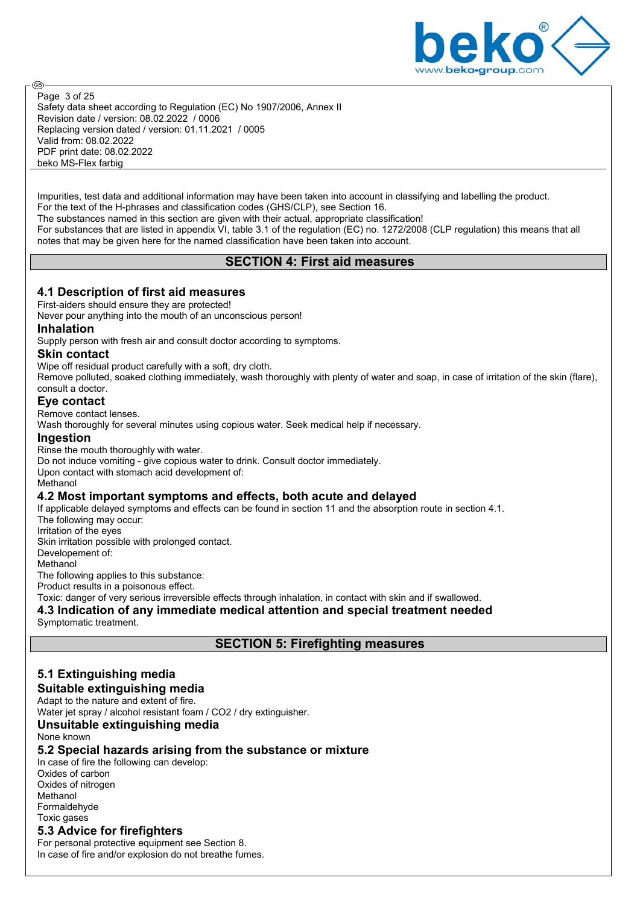

Safety data sheet according to Regulation (EC) No 1907/2006, Annex II Revision date / version: 08.02.2022 / 0006 Replacing version dated / version: 01.11.2021 / 0005 Valid from: 08.02.2022 PDF print date: 08.02.2022 beko MS-Flex farbig Page 3 of 25

Impurities, test data and additional information may have been taken into account in classifying and labelling the product. For the text of the H-phrases and classification codes (GHS/CLP), see Section 16.

The substances named in this section are given with their actual, appropriate classification!

For substances that are listed in appendix VI, table 3.1 of the regulation (EC) no. 1272/2008 (CLP regulation) this means that all notes that may be given here for the named classification have been taken into account.

## **SECTION 4: First aid measures**

## **4.1 Description of first aid measures**

First-aiders should ensure they are protected!

Never pour anything into the mouth of an unconscious person!

#### **Inhalation**

**ි** 

Supply person with fresh air and consult doctor according to symptoms.

#### **Skin contact**

Wipe off residual product carefully with a soft, dry cloth.

Remove polluted, soaked clothing immediately, wash thoroughly with plenty of water and soap, in case of irritation of the skin (flare), consult a doctor.

#### **Eye contact**

Remove contact lenses.

Wash thoroughly for several minutes using copious water. Seek medical help if necessary.

#### **Ingestion**

Rinse the mouth thoroughly with water.

Do not induce vomiting - give copious water to drink. Consult doctor immediately.

Upon contact with stomach acid development of:

#### Methanol

#### **4.2 Most important symptoms and effects, both acute and delayed**

If applicable delayed symptoms and effects can be found in section 11 and the absorption route in section 4.1. The following may occur:

Irritation of the eyes

Skin irritation possible with prolonged contact. Developement of:

**Methanol** 

The following applies to this substance:

Product results in a poisonous effect.

Toxic: danger of very serious irreversible effects through inhalation, in contact with skin and if swallowed.

## **4.3 Indication of any immediate medical attention and special treatment needed**

Symptomatic treatment.

## **SECTION 5: Firefighting measures**

#### **5.1 Extinguishing media Suitable extinguishing media**

Adapt to the nature and extent of fire.

Water jet spray / alcohol resistant foam / CO2 / dry extinguisher.

## **Unsuitable extinguishing media**

None known

#### **5.2 Special hazards arising from the substance or mixture**

In case of fire the following can develop: Oxides of carbon Oxides of nitrogen Methanol Formaldehyde Toxic gases **5.3 Advice for firefighters**

For personal protective equipment see Section 8. In case of fire and/or explosion do not breathe fumes.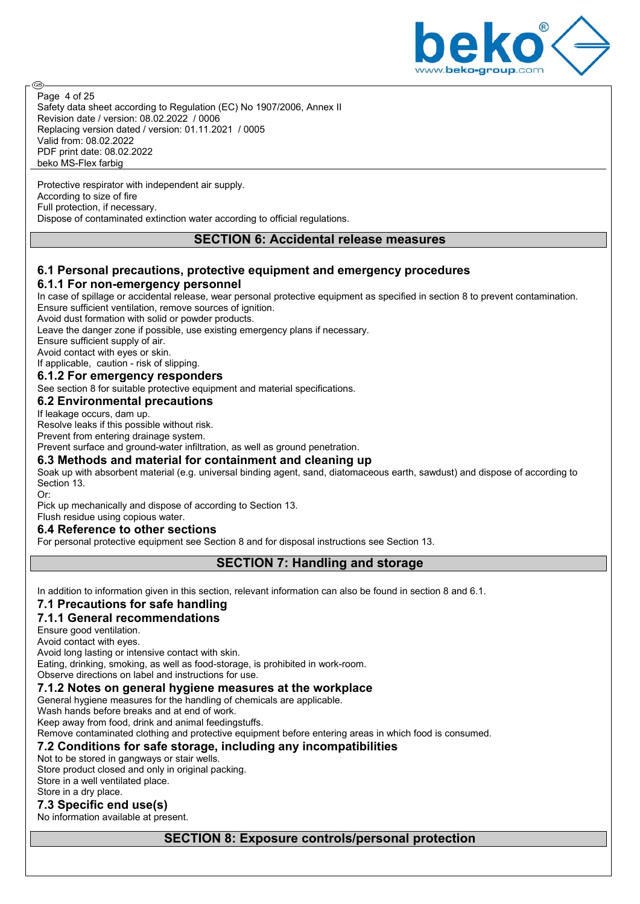

Safety data sheet according to Regulation (EC) No 1907/2006, Annex II Revision date / version: 08.02.2022 / 0006 Replacing version dated / version: 01.11.2021 / 0005 Valid from: 08.02.2022 PDF print date: 08.02.2022 beko MS-Flex farbig Page 4 of 25

Protective respirator with independent air supply. According to size of fire Full protection, if necessary. Dispose of contaminated extinction water according to official regulations.

#### **SECTION 6: Accidental release measures**

## **6.1 Personal precautions, protective equipment and emergency procedures 6.1.1 For non-emergency personnel**

In case of spillage or accidental release, wear personal protective equipment as specified in section 8 to prevent contamination. Ensure sufficient ventilation, remove sources of ignition.

Avoid dust formation with solid or powder products.

Leave the danger zone if possible, use existing emergency plans if necessary.

Ensure sufficient supply of air.

**ි** 

Avoid contact with eyes or skin.

If applicable, caution - risk of slipping.

#### **6.1.2 For emergency responders**

See section 8 for suitable protective equipment and material specifications.

#### **6.2 Environmental precautions**

If leakage occurs, dam up.

Resolve leaks if this possible without risk.

Prevent from entering drainage system.

Prevent surface and ground-water infiltration, as well as ground penetration.

#### **6.3 Methods and material for containment and cleaning up**

Soak up with absorbent material (e.g. universal binding agent, sand, diatomaceous earth, sawdust) and dispose of according to Section 13.

Or: Pick up mechanically and dispose of according to Section 13.

Flush residue using copious water.

#### **6.4 Reference to other sections**

For personal protective equipment see Section 8 and for disposal instructions see Section 13.

#### **SECTION 7: Handling and storage**

In addition to information given in this section, relevant information can also be found in section 8 and 6.1.

## **7.1 Precautions for safe handling**

#### **7.1.1 General recommendations**

Ensure good ventilation.

Avoid contact with eyes.

Avoid long lasting or intensive contact with skin.

Eating, drinking, smoking, as well as food-storage, is prohibited in work-room.

Observe directions on label and instructions for use.

#### **7.1.2 Notes on general hygiene measures at the workplace**

General hygiene measures for the handling of chemicals are applicable.

Wash hands before breaks and at end of work.

Keep away from food, drink and animal feedingstuffs.

Remove contaminated clothing and protective equipment before entering areas in which food is consumed.

## **7.2 Conditions for safe storage, including any incompatibilities**

Not to be stored in gangways or stair wells.

Store product closed and only in original packing.

Store in a well ventilated place.

## Store in a dry place.

**7.3 Specific end use(s)**

No information available at present.

## **SECTION 8: Exposure controls/personal protection**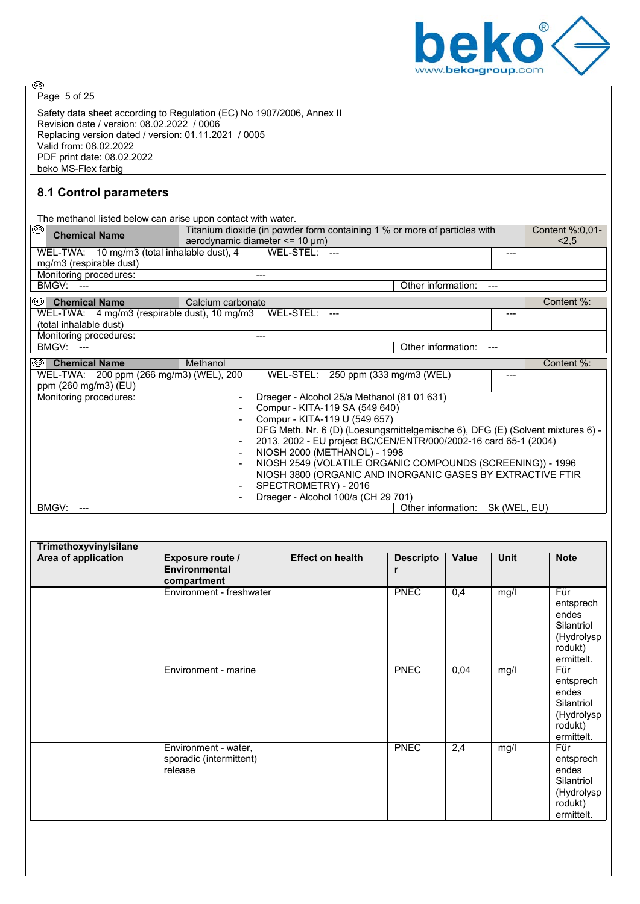

Page 5 of 25

⊛

Safety data sheet according to Regulation (EC) No 1907/2006, Annex II Revision date / version: 08.02.2022 / 0006 Replacing version dated / version: 01.11.2021 / 0005 Valid from: 08.02.2022 PDF print date: 08.02.2022 beko MS-Flex farbig

## **8.1 Control parameters**

| The methanol listed below can arise upon contact with water. |                                      |                      |                                             |                                                                                |              |                 |
|--------------------------------------------------------------|--------------------------------------|----------------------|---------------------------------------------|--------------------------------------------------------------------------------|--------------|-----------------|
| ⊛<br><b>Chemical Name</b>                                    |                                      |                      |                                             | Titanium dioxide (in powder form containing 1 % or more of particles with      |              | Content %:0,01- |
|                                                              | aerodynamic diameter $<= 10 \mu m$ ) |                      |                                             |                                                                                |              | < 2.5           |
| WEL-TWA: 10 mg/m3 (total inhalable dust), 4                  |                                      | WEL-STEL:            |                                             |                                                                                |              |                 |
| mg/m3 (respirable dust)                                      |                                      |                      |                                             |                                                                                |              |                 |
| Monitoring procedures:                                       |                                      | $---$                |                                             |                                                                                |              |                 |
| <b>BMGV: ---</b>                                             |                                      |                      |                                             | Other information:                                                             |              |                 |
| ⊛<br><b>Chemical Name</b>                                    | Calcium carbonate                    |                      |                                             |                                                                                |              | Content %:      |
| WEL-TWA: 4 mg/m3 (respirable dust), 10 mg/m3                 |                                      | WEL-STEL:            |                                             |                                                                                | ---          |                 |
| (total inhalable dust)                                       |                                      |                      |                                             |                                                                                |              |                 |
| Monitoring procedures:                                       |                                      | ---                  |                                             |                                                                                |              |                 |
| <b>BMGV: ---</b>                                             |                                      |                      |                                             | Other information:                                                             |              |                 |
| I®<br><b>Chemical Name</b>                                   | Methanol                             |                      |                                             |                                                                                |              | Content %:      |
| WEL-TWA: 200 ppm (266 mg/m3) (WEL), 200                      |                                      |                      | WEL-STEL: 250 ppm (333 mg/m3 (WEL)          |                                                                                |              |                 |
| ppm (260 mg/m3) (EU)                                         |                                      |                      |                                             |                                                                                |              |                 |
| Monitoring procedures:                                       |                                      |                      | Draeger - Alcohol 25/a Methanol (81 01 631) |                                                                                |              |                 |
|                                                              |                                      |                      | Compur - KITA-119 SA (549 640)              |                                                                                |              |                 |
|                                                              |                                      |                      | Compur - KITA-119 U (549 657)               |                                                                                |              |                 |
|                                                              |                                      |                      |                                             | DFG Meth. Nr. 6 (D) (Loesungsmittelgemische 6), DFG (E) (Solvent mixtures 6) - |              |                 |
|                                                              |                                      |                      |                                             | 2013, 2002 - EU project BC/CEN/ENTR/000/2002-16 card 65-1 (2004)               |              |                 |
|                                                              |                                      |                      | NIOSH 2000 (METHANOL) - 1998                |                                                                                |              |                 |
|                                                              | $\blacksquare$                       |                      |                                             | NIOSH 2549 (VOLATILE ORGANIC COMPOUNDS (SCREENING)) - 1996                     |              |                 |
|                                                              |                                      |                      |                                             | NIOSH 3800 (ORGANIC AND INORGANIC GASES BY EXTRACTIVE FTIR                     |              |                 |
|                                                              |                                      | SPECTROMETRY) - 2016 |                                             |                                                                                |              |                 |
|                                                              |                                      |                      | Draeger - Alcohol 100/a (CH 29 701)         |                                                                                |              |                 |
| BMGV:                                                        |                                      |                      |                                             | Other information:                                                             | Sk (WEL, EU) |                 |

| Area of application | <b>Exposure route /</b><br><b>Environmental</b><br>compartment | <b>Effect on health</b> | <b>Descripto</b><br>r | Value            | <b>Unit</b> | <b>Note</b>                                                                    |
|---------------------|----------------------------------------------------------------|-------------------------|-----------------------|------------------|-------------|--------------------------------------------------------------------------------|
|                     | Environment - freshwater                                       |                         | <b>PNEC</b>           | $\overline{0,4}$ | mg/l        | Für<br>entsprech<br>endes<br>Silantriol<br>(Hydrolysp<br>rodukt)<br>ermittelt. |
|                     | Environment - marine                                           |                         | <b>PNEC</b>           | 0,04             | mg/l        | Für<br>entsprech<br>endes<br>Silantriol<br>(Hydrolysp<br>rodukt)<br>ermittelt. |
|                     | Environment - water,<br>sporadic (intermittent)<br>release     |                         | <b>PNEC</b>           | 2,4              | mg/l        | Für<br>entsprech<br>endes<br>Silantriol<br>(Hydrolysp<br>rodukt)<br>ermittelt. |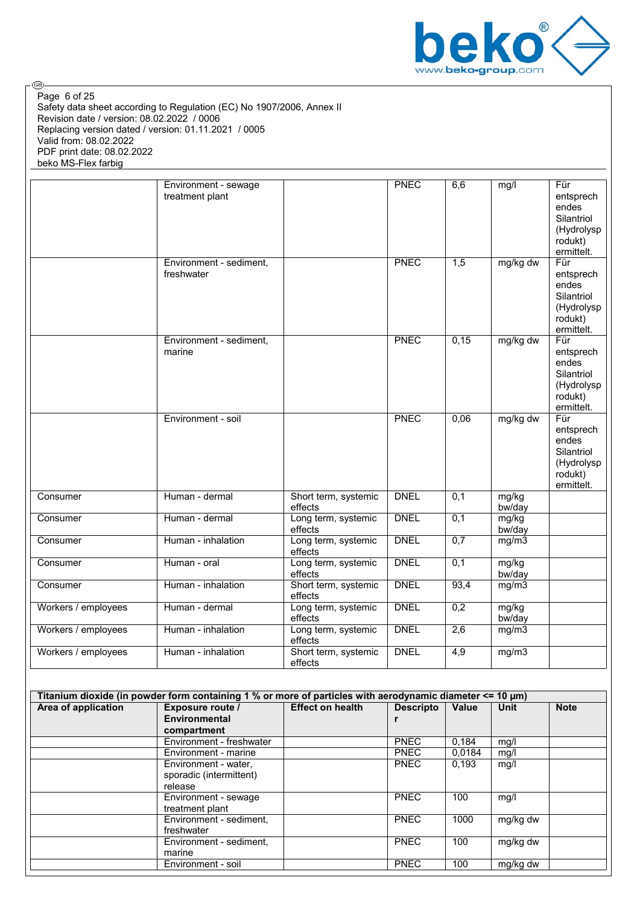

Safety data sheet according to Regulation (EC) No 1907/2006, Annex II Revision date / version: 08.02.2022 / 0006 Replacing version dated / version: 01.11.2021 / 0005 Valid from: 08.02.2022 PDF print date: 08.02.2022 beko MS-Flex farbig Page 6 of 25

|                     | Environment - sewage<br>treatment plant |                                 | <b>PNEC</b> | 6,6              | mg/l            | Für<br>entsprech<br>endes<br>Silantriol<br>(Hydrolysp<br>rodukt)<br>ermittelt.    |
|---------------------|-----------------------------------------|---------------------------------|-------------|------------------|-----------------|-----------------------------------------------------------------------------------|
|                     | Environment - sediment,<br>freshwater   |                                 | <b>PNEC</b> | $\overline{1,5}$ | mg/kg dw        | $F$ ür<br>entsprech<br>endes<br>Silantriol<br>(Hydrolysp<br>rodukt)<br>ermittelt. |
|                     | Environment - sediment,<br>marine       |                                 | <b>PNEC</b> | 0,15             | mg/kg dw        | $F$ ür<br>entsprech<br>endes<br>Silantriol<br>(Hydrolysp<br>rodukt)<br>ermittelt. |
|                     | Environment - soil                      |                                 | <b>PNEC</b> | 0,06             | mg/kg dw        | Für<br>entsprech<br>endes<br>Silantriol<br>(Hydrolysp<br>rodukt)<br>ermittelt.    |
| Consumer            | Human - dermal                          | Short term, systemic<br>effects | <b>DNEL</b> | $\overline{0,1}$ | mg/kg<br>bw/day |                                                                                   |
| Consumer            | Human - dermal                          | Long term, systemic<br>effects  | <b>DNEL</b> | 0,1              | mg/kg<br>bw/day |                                                                                   |
| Consumer            | Human - inhalation                      | Long term, systemic<br>effects  | <b>DNEL</b> | 0,7              | mg/m3           |                                                                                   |
| Consumer            | Human - oral                            | Long term, systemic<br>effects  | <b>DNEL</b> | $\overline{0,1}$ | mg/kg<br>bw/day |                                                                                   |
| Consumer            | Human - inhalation                      | Short term, systemic<br>effects | <b>DNEL</b> | 93,4             | mg/m3           |                                                                                   |
| Workers / employees | Human - dermal                          | Long term, systemic<br>effects  | <b>DNEL</b> | 0,2              | mg/kg<br>bw/day |                                                                                   |
| Workers / employees | Human - inhalation                      | Long term, systemic<br>effects  | <b>DNEL</b> | 2,6              | mg/m3           |                                                                                   |
| Workers / employees | Human - inhalation                      | Short term, systemic<br>effects | <b>DNEL</b> | 4,9              | mg/m3           |                                                                                   |

| Titanium dioxide (in powder form containing 1 % or more of particles with aerodynamic diameter <= 10 µm) |                          |                         |                  |        |             |             |  |
|----------------------------------------------------------------------------------------------------------|--------------------------|-------------------------|------------------|--------|-------------|-------------|--|
| Area of application                                                                                      | Exposure route /         | <b>Effect on health</b> | <b>Descripto</b> | Value  | <b>Unit</b> | <b>Note</b> |  |
|                                                                                                          | Environmental            |                         |                  |        |             |             |  |
|                                                                                                          | compartment              |                         |                  |        |             |             |  |
|                                                                                                          | Environment - freshwater |                         | <b>PNEC</b>      | 0.184  | mg/l        |             |  |
|                                                                                                          | Environment - marine     |                         | <b>PNEC</b>      | 0.0184 | mg/l        |             |  |
|                                                                                                          | Environment - water,     |                         | <b>PNEC</b>      | 0,193  | mg/l        |             |  |
|                                                                                                          | sporadic (intermittent)  |                         |                  |        |             |             |  |
|                                                                                                          | release                  |                         |                  |        |             |             |  |
|                                                                                                          | Environment - sewage     |                         | <b>PNEC</b>      | 100    | mg/l        |             |  |
|                                                                                                          | treatment plant          |                         |                  |        |             |             |  |
|                                                                                                          | Environment - sediment,  |                         | <b>PNEC</b>      | 1000   | mg/kg dw    |             |  |
|                                                                                                          | freshwater               |                         |                  |        |             |             |  |
|                                                                                                          | Environment - sediment,  |                         | <b>PNEC</b>      | 100    | mg/kg dw    |             |  |
|                                                                                                          | marine                   |                         |                  |        |             |             |  |
|                                                                                                          | Environment - soil       |                         | <b>PNEC</b>      | 100    | mg/kg dw    |             |  |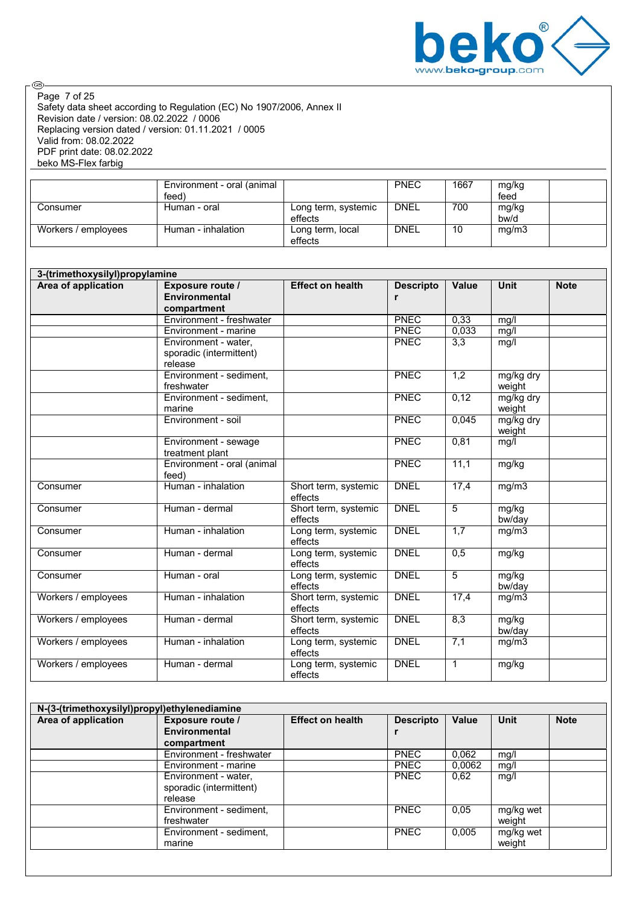

Safety data sheet according to Regulation (EC) No 1907/2006, Annex II Revision date / version: 08.02.2022 / 0006 Replacing version dated / version: 01.11.2021 / 0005 Valid from: 08.02.2022 PDF print date: 08.02.2022 beko MS-Flex farbig Page 7 of 25

|                     | Environment - oral (animal<br>feed) |                                | <b>PNEC</b> | 1667 | mg/kg<br>feed |  |
|---------------------|-------------------------------------|--------------------------------|-------------|------|---------------|--|
| Consumer            | Human - oral                        | Long term, systemic<br>effects | <b>DNEL</b> | 700  | mg/kg<br>bw/d |  |
| Workers / employees | Human - inhalation                  | Long term, local<br>effects    | <b>DNEL</b> | 10   | mg/m3         |  |

| 3-(trimethoxysilyl)propylamine |                                                            |                                 |                       |                  |                     |             |  |
|--------------------------------|------------------------------------------------------------|---------------------------------|-----------------------|------------------|---------------------|-------------|--|
| Area of application            | Exposure route /<br><b>Environmental</b><br>compartment    | <b>Effect on health</b>         | <b>Descripto</b><br>r | <b>Value</b>     | <b>Unit</b>         | <b>Note</b> |  |
|                                | Environment - freshwater                                   |                                 | <b>PNEC</b>           | 0.33             | mg/l                |             |  |
|                                | Environment - marine                                       |                                 | <b>PNEC</b>           | 0,033            | mg/l                |             |  |
|                                | Environment - water.<br>sporadic (intermittent)<br>release |                                 | <b>PNEC</b>           | 3,3              | mg/l                |             |  |
|                                | Environment - sediment,<br>freshwater                      |                                 | <b>PNEC</b>           | $\overline{1,2}$ | mg/kg dry<br>weight |             |  |
|                                | Environment - sediment.<br>marine                          |                                 | <b>PNEC</b>           | 0,12             | mg/kg dry<br>weight |             |  |
|                                | Environment - soil                                         |                                 | <b>PNEC</b>           | 0,045            | mg/kg dry<br>weight |             |  |
|                                | Environment - sewage<br>treatment plant                    |                                 | <b>PNEC</b>           | 0,81             | mg/l                |             |  |
|                                | Environment - oral (animal<br>feed)                        |                                 | <b>PNEC</b>           | 11,1             | mg/kg               |             |  |
| Consumer                       | Human - inhalation                                         | Short term, systemic<br>effects | <b>DNEL</b>           | 17,4             | mg/m3               |             |  |
| Consumer                       | Human - dermal                                             | Short term, systemic<br>effects | <b>DNEL</b>           | 5                | mg/kg<br>bw/day     |             |  |
| Consumer                       | Human - inhalation                                         | Long term, systemic<br>effects  | <b>DNEL</b>           | 1,7              | mg/m3               |             |  |
| Consumer                       | Human - dermal                                             | Long term, systemic<br>effects  | <b>DNEL</b>           | 0,5              | mg/kg               |             |  |
| Consumer                       | Human - oral                                               | Long term, systemic<br>effects  | <b>DNEL</b>           | 5                | mg/kg<br>bw/day     |             |  |
| Workers / employees            | Human - inhalation                                         | Short term, systemic<br>effects | <b>DNEL</b>           | 17,4             | mg/m3               |             |  |
| Workers / employees            | Human - dermal                                             | Short term, systemic<br>effects | <b>DNEL</b>           | 8,3              | mg/kg<br>bw/day     |             |  |
| Workers / employees            | Human - inhalation                                         | Long term, systemic<br>effects  | <b>DNEL</b>           | 7,1              | mg/m3               |             |  |
| Workers / employees            | Human - dermal                                             | Long term, systemic<br>effects  | <b>DNEL</b>           | $\mathbf{1}$     | mg/kg               |             |  |

| N-(3-(trimethoxysilyl)propyl)ethylenediamine |                          |                         |                  |              |             |             |
|----------------------------------------------|--------------------------|-------------------------|------------------|--------------|-------------|-------------|
| Area of application                          | Exposure route /         | <b>Effect on health</b> | <b>Descripto</b> | <b>Value</b> | <b>Unit</b> | <b>Note</b> |
|                                              | Environmental            |                         |                  |              |             |             |
|                                              | compartment              |                         |                  |              |             |             |
|                                              | Environment - freshwater |                         | <b>PNEC</b>      | 0,062        | mg/l        |             |
|                                              | Environment - marine     |                         | <b>PNEC</b>      | 0.0062       | mg/l        |             |
|                                              | Environment - water,     |                         | <b>PNEC</b>      | 0.62         | mg/l        |             |
|                                              | sporadic (intermittent)  |                         |                  |              |             |             |
|                                              | release                  |                         |                  |              |             |             |
|                                              | Environment - sediment,  |                         | <b>PNEC</b>      | 0.05         | mg/kg wet   |             |
|                                              | freshwater               |                         |                  |              | weight      |             |
|                                              | Environment - sediment,  |                         | <b>PNEC</b>      | 0.005        | mg/kg wet   |             |
|                                              | marine                   |                         |                  |              | weight      |             |
|                                              |                          |                         |                  |              |             |             |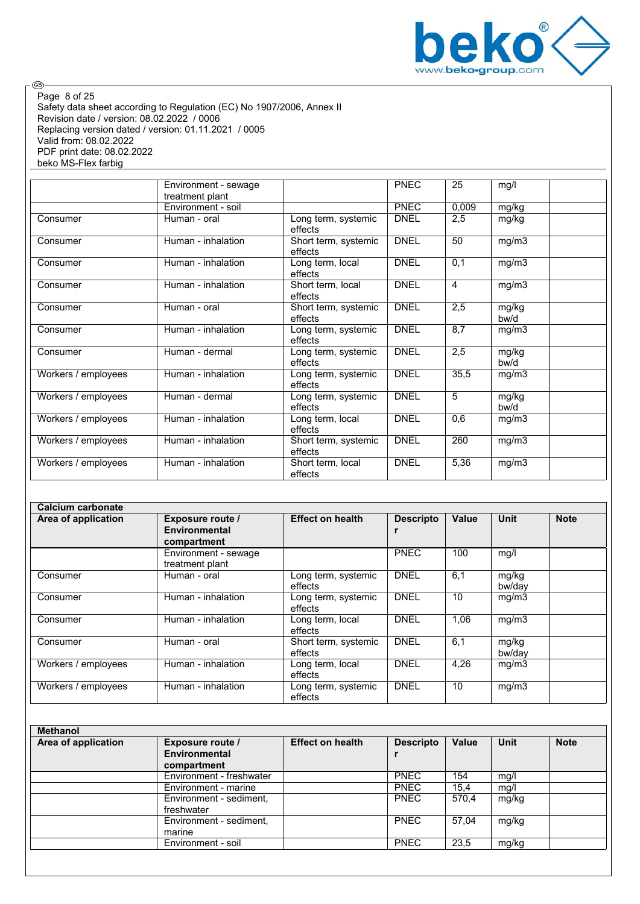

Safety data sheet according to Regulation (EC) No 1907/2006, Annex II Revision date / version: 08.02.2022 / 0006 Replacing version dated / version: 01.11.2021 / 0005 Valid from: 08.02.2022 PDF print date: 08.02.2022 beko MS-Flex farbig Page 8 of 25

|                     | Environment - sewage<br>treatment plant |                                 | <b>PNEC</b> | 25    | mg/l          |
|---------------------|-----------------------------------------|---------------------------------|-------------|-------|---------------|
|                     | Environment - soil                      |                                 | <b>PNEC</b> | 0,009 | mg/kg         |
| Consumer            | Human - oral                            | Long term, systemic<br>effects  | <b>DNEL</b> | 2,5   | mg/kg         |
| Consumer            | Human - inhalation                      | Short term, systemic<br>effects | <b>DNEL</b> | 50    | mg/m3         |
| Consumer            | Human - inhalation                      | Long term, local<br>effects     | <b>DNEL</b> | 0,1   | mg/m3         |
| Consumer            | Human - inhalation                      | Short term, local<br>effects    | <b>DNEL</b> | 4     | mg/m3         |
| Consumer            | Human - oral                            | Short term, systemic<br>effects | <b>DNEL</b> | 2,5   | mg/kg<br>bw/d |
| Consumer            | Human - inhalation                      | Long term, systemic<br>effects  | <b>DNEL</b> | 8,7   | mg/m3         |
| Consumer            | Human - dermal                          | Long term, systemic<br>effects  | <b>DNEL</b> | 2,5   | mg/kg<br>bw/d |
| Workers / employees | Human - inhalation                      | Long term, systemic<br>effects  | <b>DNEL</b> | 35,5  | mg/m3         |
| Workers / employees | Human - dermal                          | Long term, systemic<br>effects  | <b>DNEL</b> | 5     | mg/kg<br>bw/d |
| Workers / employees | Human - inhalation                      | Long term, local<br>effects     | <b>DNEL</b> | 0,6   | mg/m3         |
| Workers / employees | Human - inhalation                      | Short term, systemic<br>effects | <b>DNEL</b> | 260   | mg/m3         |
| Workers / employees | Human - inhalation                      | Short term, local<br>effects    | <b>DNEL</b> | 5,36  | mg/m3         |

| Calcium carbonate   |                                                         |                                 |                  |       |                 |             |
|---------------------|---------------------------------------------------------|---------------------------------|------------------|-------|-----------------|-------------|
| Area of application | <b>Exposure route /</b><br>Environmental<br>compartment | <b>Effect on health</b>         | <b>Descripto</b> | Value | <b>Unit</b>     | <b>Note</b> |
|                     | Environment - sewage<br>treatment plant                 |                                 | <b>PNEC</b>      | 100   | mg/l            |             |
| Consumer            | Human - oral                                            | Long term, systemic<br>effects  | <b>DNEL</b>      | 6,1   | mg/kg<br>bw/dav |             |
| Consumer            | Human - inhalation                                      | Long term, systemic<br>effects  | <b>DNEL</b>      | 10    | mg/m3           |             |
| Consumer            | Human - inhalation                                      | Long term, local<br>effects     | <b>DNEL</b>      | 1.06  | mg/m3           |             |
| Consumer            | Human - oral                                            | Short term, systemic<br>effects | <b>DNEL</b>      | 6,1   | mg/kg<br>bw/dav |             |
| Workers / employees | Human - inhalation                                      | Long term, local<br>effects     | <b>DNFI</b>      | 4,26  | mg/m3           |             |
| Workers / employees | Human - inhalation                                      | Long term, systemic<br>effects  | <b>DNEL</b>      | 10    | mg/m3           |             |

| <b>Methanol</b>     |                          |                         |                  |              |             |             |
|---------------------|--------------------------|-------------------------|------------------|--------------|-------------|-------------|
| Area of application | <b>Exposure route /</b>  | <b>Effect on health</b> | <b>Descripto</b> | <b>Value</b> | <b>Unit</b> | <b>Note</b> |
|                     | <b>Environmental</b>     |                         |                  |              |             |             |
|                     | compartment              |                         |                  |              |             |             |
|                     | Environment - freshwater |                         | <b>PNEC</b>      | 154          | mg/l        |             |
|                     | Environment - marine     |                         | <b>PNEC</b>      | 15,4         | mg/l        |             |
|                     | Environment - sediment,  |                         | <b>PNEC</b>      | 570.4        | mg/kg       |             |
|                     | freshwater               |                         |                  |              |             |             |
|                     | Environment - sediment,  |                         | <b>PNEC</b>      | 57.04        | mg/kg       |             |
|                     | marine                   |                         |                  |              |             |             |
|                     | Environment - soil       |                         | <b>PNEC</b>      | 23,5         | mg/kg       |             |
|                     |                          |                         |                  |              |             |             |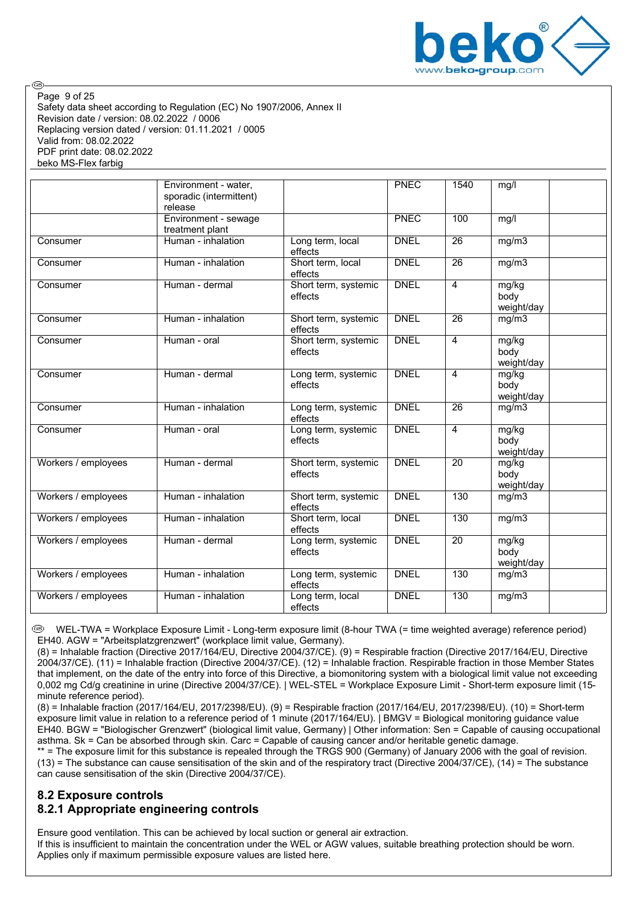

Safety data sheet according to Regulation (EC) No 1907/2006, Annex II Revision date / version: 08.02.2022 / 0006 Replacing version dated / version: 01.11.2021 / 0005 Valid from: 08.02.2022 PDF print date: 08.02.2022 beko MS-Flex farbig Page 9 of 25

|                     | Environment - water.<br>sporadic (intermittent)<br>release |                                 | PNEC        | 1540            | mg/l                        |  |
|---------------------|------------------------------------------------------------|---------------------------------|-------------|-----------------|-----------------------------|--|
|                     | Environment - sewage<br>treatment plant                    |                                 | <b>PNEC</b> | 100             | mg/l                        |  |
| Consumer            | Human - inhalation                                         | Long term, local<br>effects     | <b>DNEL</b> | 26              | mg/m3                       |  |
| Consumer            | Human - inhalation                                         | Short term, local<br>effects    | <b>DNEL</b> | $\overline{26}$ | mg/m3                       |  |
| Consumer            | Human - dermal                                             | Short term, systemic<br>effects | <b>DNEL</b> | $\overline{4}$  | mg/kg<br>body<br>weight/day |  |
| Consumer            | Human - inhalation                                         | Short term, systemic<br>effects | <b>DNEL</b> | 26              | mg/m3                       |  |
| Consumer            | Human - oral                                               | Short term, systemic<br>effects | <b>DNEL</b> | $\overline{4}$  | mg/kg<br>body<br>weight/day |  |
| Consumer            | Human - dermal                                             | Long term, systemic<br>effects  | <b>DNEL</b> | $\overline{4}$  | mg/kg<br>body<br>weight/day |  |
| Consumer            | Human - inhalation                                         | Long term, systemic<br>effects  | <b>DNEL</b> | $\overline{26}$ | mg/m3                       |  |
| Consumer            | Human - oral                                               | Long term, systemic<br>effects  | <b>DNEL</b> | $\overline{4}$  | mg/kg<br>body<br>weight/day |  |
| Workers / employees | Human - dermal                                             | Short term, systemic<br>effects | <b>DNEL</b> | $\overline{20}$ | mg/kg<br>body<br>weight/day |  |
| Workers / employees | Human - inhalation                                         | Short term, systemic<br>effects | <b>DNEL</b> | 130             | mg/m3                       |  |
| Workers / employees | Human - inhalation                                         | Short term, local<br>effects    | <b>DNEL</b> | 130             | mg/m3                       |  |
| Workers / employees | Human - dermal                                             | Long term, systemic<br>effects  | <b>DNEL</b> | 20              | mg/kg<br>body<br>weight/day |  |
| Workers / employees | Human - inhalation                                         | Long term, systemic<br>effects  | <b>DNEL</b> | 130             | mg/m3                       |  |
| Workers / employees | Human - inhalation                                         | Long term, local<br>effects     | <b>DNEL</b> | 130             | mg/m3                       |  |

 WEL-TWA = Workplace Exposure Limit - Long-term exposure limit (8-hour TWA (= time weighted average) reference period) EH40. AGW = "Arbeitsplatzgrenzwert" (workplace limit value, Germany).

(8) = Inhalable fraction (Directive 2017/164/EU, Directive 2004/37/CE). (9) = Respirable fraction (Directive 2017/164/EU, Directive 2004/37/CE). (11) = Inhalable fraction (Directive 2004/37/CE). (12) = Inhalable fraction. Respirable fraction in those Member States that implement, on the date of the entry into force of this Directive, a biomonitoring system with a biological limit value not exceeding 0,002 mg Cd/g creatinine in urine (Directive 2004/37/CE). | WEL-STEL = Workplace Exposure Limit - Short-term exposure limit (15 minute reference period).

(8) = Inhalable fraction (2017/164/EU, 2017/2398/EU). (9) = Respirable fraction (2017/164/EU, 2017/2398/EU). (10) = Short-term exposure limit value in relation to a reference period of 1 minute (2017/164/EU). | BMGV = Biological monitoring guidance value EH40. BGW = "Biologischer Grenzwert" (biological limit value, Germany) | Other information: Sen = Capable of causing occupational asthma. Sk = Can be absorbed through skin. Carc = Capable of causing cancer and/or heritable genetic damage.

\*\* = The exposure limit for this substance is repealed through the TRGS 900 (Germany) of January 2006 with the goal of revision.  $(13)$  = The substance can cause sensitisation of the skin and of the respiratory tract (Directive 2004/37/CE),  $(14)$  = The substance can cause sensitisation of the skin (Directive 2004/37/CE).

## **8.2 Exposure controls**

## **8.2.1 Appropriate engineering controls**

Ensure good ventilation. This can be achieved by local suction or general air extraction.

If this is insufficient to maintain the concentration under the WEL or AGW values, suitable breathing protection should be worn. Applies only if maximum permissible exposure values are listed here.

**ි**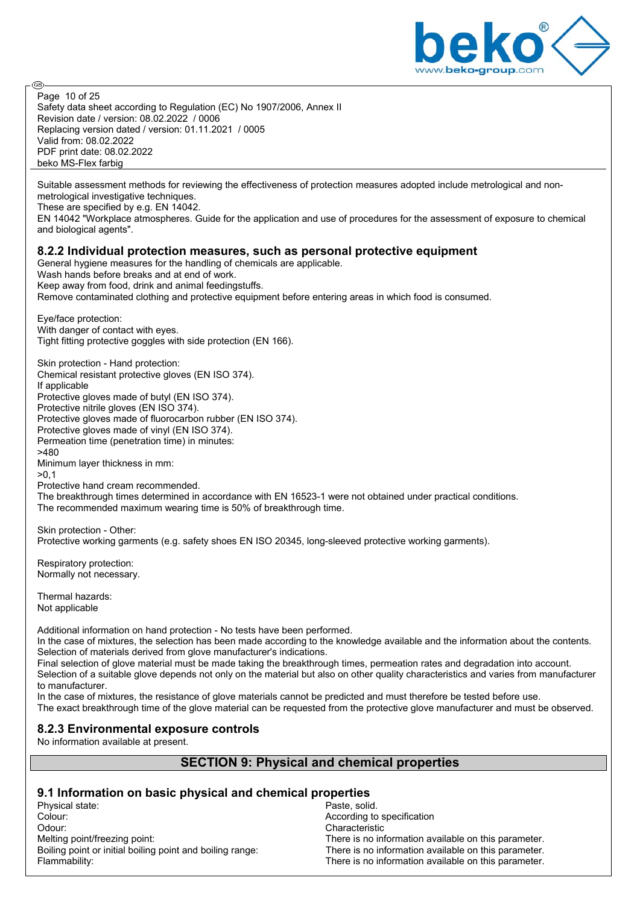

Safety data sheet according to Regulation (EC) No 1907/2006, Annex II Revision date / version: 08.02.2022 / 0006 Replacing version dated / version: 01.11.2021 / 0005 Valid from: 08.02.2022 PDF print date: 08.02.2022 beko MS-Flex farbig Page 10 of 25

Suitable assessment methods for reviewing the effectiveness of protection measures adopted include metrological and nonmetrological investigative techniques.

These are specified by e.g. EN 14042.

EN 14042 "Workplace atmospheres. Guide for the application and use of procedures for the assessment of exposure to chemical and biological agents".

#### **8.2.2 Individual protection measures, such as personal protective equipment**

General hygiene measures for the handling of chemicals are applicable.

Wash hands before breaks and at end of work.

Keep away from food, drink and animal feedingstuffs.

Remove contaminated clothing and protective equipment before entering areas in which food is consumed.

Eye/face protection: With danger of contact with eyes. Tight fitting protective goggles with side protection (EN 166).

Skin protection - Hand protection: Chemical resistant protective gloves (EN ISO 374). If applicable Protective gloves made of butyl (EN ISO 374). Protective nitrile gloves (EN ISO 374). Protective gloves made of fluorocarbon rubber (EN ISO 374). Protective gloves made of vinyl (EN ISO 374). Permeation time (penetration time) in minutes: >480 Minimum layer thickness in mm: >0,1

Protective hand cream recommended.

The breakthrough times determined in accordance with EN 16523-1 were not obtained under practical conditions. The recommended maximum wearing time is 50% of breakthrough time.

Skin protection - Other: Protective working garments (e.g. safety shoes EN ISO 20345, long-sleeved protective working garments).

Respiratory protection: Normally not necessary.

Thermal hazards: Not applicable

Additional information on hand protection - No tests have been performed.

In the case of mixtures, the selection has been made according to the knowledge available and the information about the contents. Selection of materials derived from glove manufacturer's indications.

Final selection of glove material must be made taking the breakthrough times, permeation rates and degradation into account. Selection of a suitable glove depends not only on the material but also on other quality characteristics and varies from manufacturer to manufacturer.

In the case of mixtures, the resistance of glove materials cannot be predicted and must therefore be tested before use.

The exact breakthrough time of the glove material can be requested from the protective glove manufacturer and must be observed.

## **8.2.3 Environmental exposure controls**

No information available at present.

## **SECTION 9: Physical and chemical properties**

# **9.1 Information on basic physical and chemical properties**

Physical state:<br>Colour: Odour: Characteristic<br>
Melting point/freezing point: Characteristic<br>
There is no inf Boiling point or initial boiling point and boiling range:<br>Flammability:

According to specification There is no information available on this parameter.<br>There is no information available on this parameter. There is no information available on this parameter.

@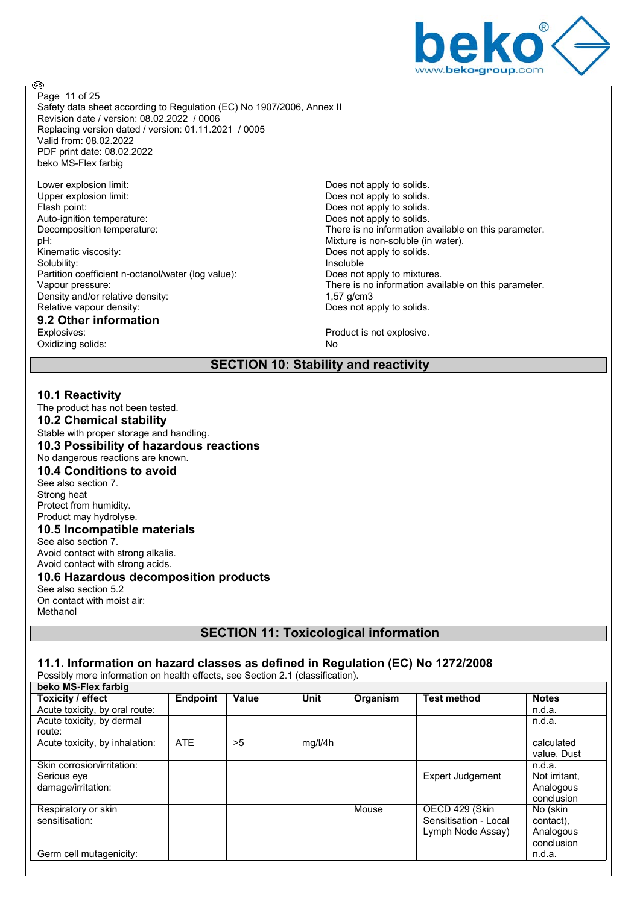

@

Safety data sheet according to Regulation (EC) No 1907/2006, Annex II Revision date / version: 08.02.2022 / 0006 Replacing version dated / version: 01.11.2021 / 0005 Valid from: 08.02.2022 PDF print date: 08.02.2022 beko MS-Flex farbig Page 11 of 25

Lower explosion limit:<br>
Upper explosion limit:<br>
Upper explosion limit:<br>
Does not apply to solids. Flash point: The state of the state of the state of the Does not apply to solids. Auto-ignition temperature:  $\begin{array}{ccc} \text{Auto-ignition temperature:} & \text{Deconposition temperature:} & \text{There is no information as a function of the system.} \end{array}$ pH:<br>
Phither is non-soluble (in water).<br>
Does not apply to solids.<br>
Does not apply to solids. Solubility: Partition coefficient n-octanol/water (log value): Does not apply to mixtures. Density and/or relative density:<br>Relative vapour density:

# **9.2 Other information**

Oxidizing solids:

Does not apply to solids. Decomposition temperature: There is no information available on this parameter.<br>
DH:<br>
Mixture is non-soluble (in water). Does not apply to solids.<br>Insoluble Vapour pressure:<br>
Density and/or relative density:<br>  $1.57 \text{ a/cm3}$ <br>  $1.57 \text{ a/cm3}$ Does not apply to solids.

Product is not explosive.<br>No

#### **SECTION 10: Stability and reactivity**

#### **10.1 Reactivity**

The product has not been tested. **10.2 Chemical stability** Stable with proper storage and handling. **10.3 Possibility of hazardous reactions** No dangerous reactions are known. **10.4 Conditions to avoid** See also section 7. Strong heat Protect from humidity. Product may hydrolyse. **10.5 Incompatible materials** See also section 7. Avoid contact with strong alkalis. Avoid contact with strong acids. **10.6 Hazardous decomposition products** See also section 5.2

On contact with moist air: Methanol

## **SECTION 11: Toxicological information**

#### **11.1. Information on hazard classes as defined in Regulation (EC) No 1272/2008**

Possibly more information on health effects, see Section 2.1 (classification).

| beko MS-Flex farbig            |                 |       |         |          |                         |               |
|--------------------------------|-----------------|-------|---------|----------|-------------------------|---------------|
| Toxicity / effect              | <b>Endpoint</b> | Value | Unit    | Organism | <b>Test method</b>      | <b>Notes</b>  |
| Acute toxicity, by oral route: |                 |       |         |          |                         | n.d.a.        |
| Acute toxicity, by dermal      |                 |       |         |          |                         | n.d.a.        |
| route:                         |                 |       |         |          |                         |               |
| Acute toxicity, by inhalation: | ATE             | >5    | mg/l/4h |          |                         | calculated    |
|                                |                 |       |         |          |                         | value, Dust   |
| Skin corrosion/irritation:     |                 |       |         |          |                         | n.d.a.        |
| Serious eye                    |                 |       |         |          | <b>Expert Judgement</b> | Not irritant, |
| damage/irritation:             |                 |       |         |          |                         | Analogous     |
|                                |                 |       |         |          |                         | conclusion    |
| Respiratory or skin            |                 |       |         | Mouse    | OECD 429 (Skin          | No (skin      |
| sensitisation:                 |                 |       |         |          | Sensitisation - Local   | contact),     |
|                                |                 |       |         |          | Lymph Node Assay)       | Analogous     |
|                                |                 |       |         |          |                         | conclusion    |
| Germ cell mutagenicity:        |                 |       |         |          |                         | n.d.a.        |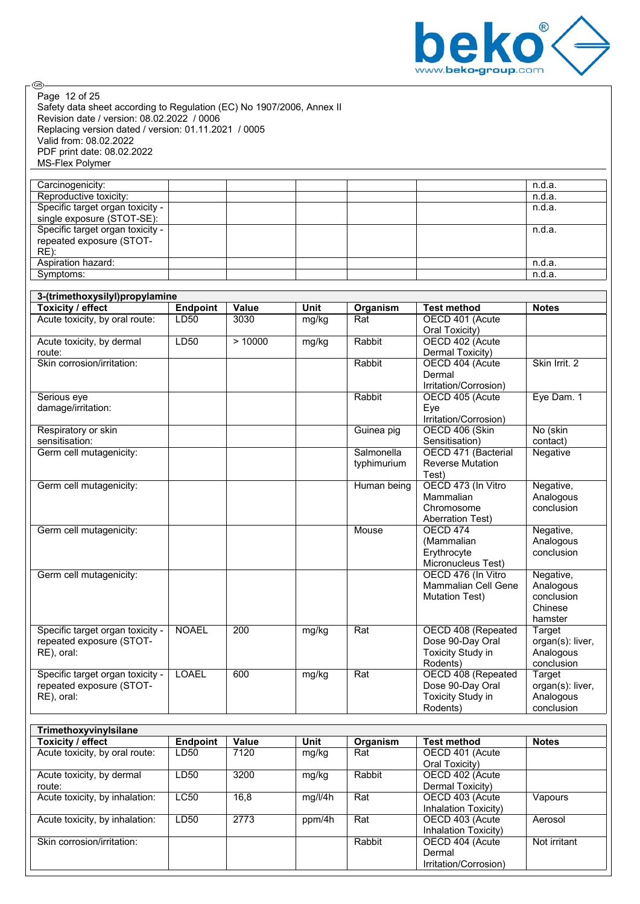

Safety data sheet according to Regulation (EC) No 1907/2006, Annex II Revision date / version: 08.02.2022 / 0006 Replacing version dated / version: 01.11.2021 / 0005 Valid from: 08.02.2022 PDF print date: 08.02.2022 MS-Flex Polymer Page 12 of 25

| Carcinogenicity:                 |  |  | n.d.a. |
|----------------------------------|--|--|--------|
| Reproductive toxicity:           |  |  | n.d.a. |
| Specific target organ toxicity - |  |  | n.d.a. |
| single exposure (STOT-SE):       |  |  |        |
| Specific target organ toxicity - |  |  | n.d.a. |
| repeated exposure (STOT-         |  |  |        |
| $RE)$ :                          |  |  |        |
| Aspiration hazard:               |  |  | n.d.a. |
| Symptoms:                        |  |  | n.d.a. |

| 3-(trimethoxysilyl)propylamine            |                 |        |             |             |                                       |                         |  |
|-------------------------------------------|-----------------|--------|-------------|-------------|---------------------------------------|-------------------------|--|
| <b>Toxicity / effect</b>                  | <b>Endpoint</b> | Value  | <b>Unit</b> | Organism    | <b>Test method</b>                    | <b>Notes</b>            |  |
| Acute toxicity, by oral route:            | LD50            | 3030   | mg/kg       | Rat         | OECD 401 (Acute                       |                         |  |
|                                           |                 |        |             |             | Oral Toxicity)                        |                         |  |
| Acute toxicity, by dermal                 | LD50            | >10000 | mg/kg       | Rabbit      | OECD 402 (Acute                       |                         |  |
| route:                                    |                 |        |             |             | Dermal Toxicity)                      |                         |  |
| Skin corrosion/irritation:                |                 |        |             | Rabbit      | OECD 404 (Acute                       | Skin Irrit. 2           |  |
|                                           |                 |        |             |             | Dermal                                |                         |  |
|                                           |                 |        |             |             | Irritation/Corrosion)                 |                         |  |
| Serious eye                               |                 |        |             | Rabbit      | OECD 405 (Acute                       | Eye Dam. 1              |  |
| damage/irritation:                        |                 |        |             |             | Eye                                   |                         |  |
|                                           |                 |        |             |             | Irritation/Corrosion)                 |                         |  |
| Respiratory or skin                       |                 |        |             | Guinea pig  | OECD 406 (Skin                        | No (skin                |  |
| sensitisation:<br>Germ cell mutagenicity: |                 |        |             | Salmonella  | Sensitisation)<br>OECD 471 (Bacterial | contact)<br>Negative    |  |
|                                           |                 |        |             | typhimurium | <b>Reverse Mutation</b>               |                         |  |
|                                           |                 |        |             |             | Test)                                 |                         |  |
| Germ cell mutagenicity:                   |                 |        |             | Human being | OECD 473 (In Vitro                    | Negative,               |  |
|                                           |                 |        |             |             | Mammalian                             | Analogous               |  |
|                                           |                 |        |             |             | Chromosome                            | conclusion              |  |
|                                           |                 |        |             |             | <b>Aberration Test)</b>               |                         |  |
| Germ cell mutagenicity:                   |                 |        |             | Mouse       | <b>OECD 474</b>                       | Negative,               |  |
|                                           |                 |        |             |             | (Mammalian                            | Analogous               |  |
|                                           |                 |        |             |             | Erythrocyte                           | conclusion              |  |
|                                           |                 |        |             |             | Micronucleus Test)                    |                         |  |
| Germ cell mutagenicity:                   |                 |        |             |             | OECD 476 (In Vitro                    | Negative,               |  |
|                                           |                 |        |             |             | Mammalian Cell Gene                   | Analogous               |  |
|                                           |                 |        |             |             | <b>Mutation Test)</b>                 | conclusion              |  |
|                                           |                 |        |             |             |                                       | Chinese                 |  |
|                                           |                 |        |             |             |                                       | hamster                 |  |
| Specific target organ toxicity -          | <b>NOAEL</b>    | 200    | mg/kg       | Rat         | OECD 408 (Repeated                    | Target                  |  |
| repeated exposure (STOT-                  |                 |        |             |             | Dose 90-Day Oral                      | organ(s): liver,        |  |
| RE), oral:                                |                 |        |             |             | Toxicity Study in<br>Rodents)         | Analogous<br>conclusion |  |
| Specific target organ toxicity -          | <b>LOAEL</b>    | 600    | mg/kg       | Rat         | OECD 408 (Repeated                    | Target                  |  |
| repeated exposure (STOT-                  |                 |        |             |             | Dose 90-Day Oral                      | organ(s): liver,        |  |
| RE), oral:                                |                 |        |             |             | <b>Toxicity Study in</b>              | Analogous               |  |
|                                           |                 |        |             |             | Rodents)                              | conclusion              |  |
|                                           |                 |        |             |             |                                       |                         |  |

| Trimethoxyvinylsilane          |                 |       |         |          |                       |              |
|--------------------------------|-----------------|-------|---------|----------|-----------------------|--------------|
| Toxicity / effect              | <b>Endpoint</b> | Value | Unit    | Organism | <b>Test method</b>    | <b>Notes</b> |
| Acute toxicity, by oral route: | LD50            | 7120  | mg/kg   | Rat      | OECD 401 (Acute       |              |
|                                |                 |       |         |          | Oral Toxicity)        |              |
| Acute toxicity, by dermal      | LD50            | 3200  | mg/kg   | Rabbit   | OECD 402 (Acute       |              |
| route:                         |                 |       |         |          | Dermal Toxicity)      |              |
| Acute toxicity, by inhalation: | <b>LC50</b>     | 16,8  | mg/l/4h | Rat      | OECD 403 (Acute       | Vapours      |
|                                |                 |       |         |          | Inhalation Toxicity)  |              |
| Acute toxicity, by inhalation: | LD50            | 2773  | ppm/4h  | Rat      | OECD 403 (Acute       | Aerosol      |
|                                |                 |       |         |          | Inhalation Toxicity)  |              |
| Skin corrosion/irritation:     |                 |       |         | Rabbit   | OECD 404 (Acute       | Not irritant |
|                                |                 |       |         |          | Dermal                |              |
|                                |                 |       |         |          | Irritation/Corrosion) |              |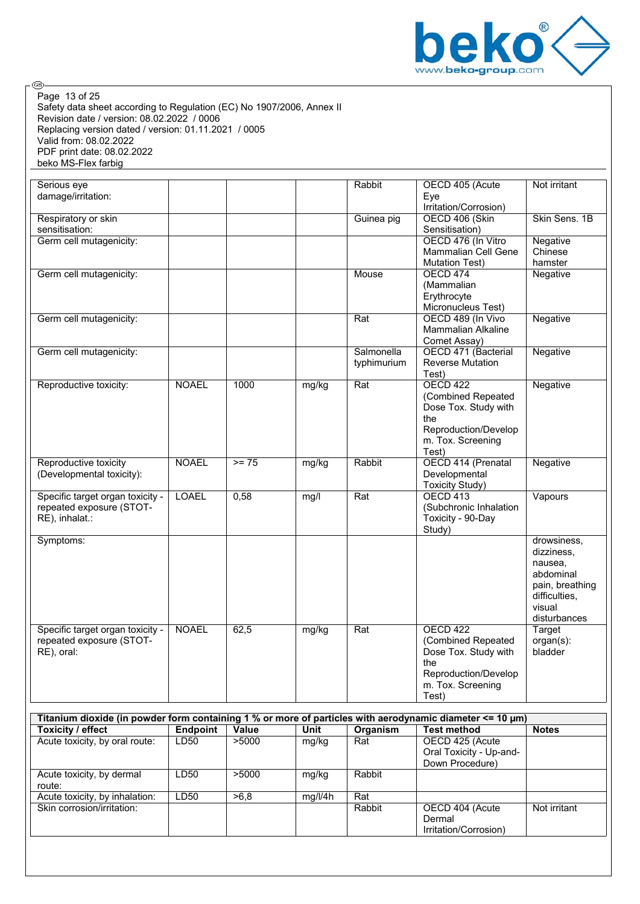

Safety data sheet according to Regulation (EC) No 1907/2006, Annex II Revision date / version: 08.02.2022 / 0006 Replacing version dated / version: 01.11.2021 / 0005 Valid from: 08.02.2022 PDF print date: 08.02.2022 beko MS-Flex farbig Page 13 of 25

| Serious eye<br>damage/irritation:                                              |              |         |       | Rabbit                    | OECD 405 (Acute<br>Eye<br>Irritation/Corrosion)                                                                            | Not irritant                                                                                                    |
|--------------------------------------------------------------------------------|--------------|---------|-------|---------------------------|----------------------------------------------------------------------------------------------------------------------------|-----------------------------------------------------------------------------------------------------------------|
| Respiratory or skin<br>sensitisation:                                          |              |         |       | Guinea pig                | OECD 406 (Skin<br>Sensitisation)                                                                                           | Skin Sens. 1B                                                                                                   |
| Germ cell mutagenicity:                                                        |              |         |       |                           | OECD 476 (In Vitro<br>Mammalian Cell Gene<br><b>Mutation Test)</b>                                                         | Negative<br>Chinese<br>hamster                                                                                  |
| Germ cell mutagenicity:                                                        |              |         |       | Mouse                     | <b>OECD 474</b><br>(Mammalian<br>Erythrocyte<br>Micronucleus Test)                                                         | Negative                                                                                                        |
| Germ cell mutagenicity:                                                        |              |         |       | Rat                       | OECD 489 (In Vivo<br><b>Mammalian Alkaline</b><br>Comet Assay)                                                             | Negative                                                                                                        |
| Germ cell mutagenicity:                                                        |              |         |       | Salmonella<br>typhimurium | OECD 471 (Bacterial<br><b>Reverse Mutation</b><br>Test)                                                                    | Negative                                                                                                        |
| Reproductive toxicity:                                                         | <b>NOAEL</b> | 1000    | mg/kg | Rat                       | <b>OECD 422</b><br>(Combined Repeated<br>Dose Tox. Study with<br>the<br>Reproduction/Develop<br>m. Tox. Screening<br>Test) | Negative                                                                                                        |
| Reproductive toxicity<br>(Developmental toxicity):                             | <b>NOAEL</b> | $>= 75$ | mg/kg | Rabbit                    | OECD 414 (Prenatal<br>Developmental<br>Toxicity Study)                                                                     | Negative                                                                                                        |
| Specific target organ toxicity -<br>repeated exposure (STOT-<br>RE), inhalat.: | <b>LOAEL</b> | 0,58    | mg/l  | Rat                       | OECD <sub>413</sub><br>(Subchronic Inhalation<br>Toxicity - 90-Day<br>Study)                                               | Vapours                                                                                                         |
| Symptoms:                                                                      |              |         |       |                           |                                                                                                                            | drowsiness,<br>dizziness,<br>nausea,<br>abdominal<br>pain, breathing<br>difficulties,<br>visual<br>disturbances |
| Specific target organ toxicity -<br>repeated exposure (STOT-<br>RE), oral:     | <b>NOAEL</b> | 62,5    | mg/kg | Rat                       | <b>OECD 422</b><br>(Combined Repeated<br>Dose Tox. Study with<br>the<br>Reproduction/Develop<br>m. Tox. Screening<br>Test) | <b>Target</b><br>organ(s):<br>bladder                                                                           |

| Titanium dioxide (in powder form containing 1 % or more of particles with aerodynamic diameter $\leq 10 \,\mathrm{\mu m}$ ) |                 |       |         |          |                         |              |  |  |
|-----------------------------------------------------------------------------------------------------------------------------|-----------------|-------|---------|----------|-------------------------|--------------|--|--|
| <b>Toxicity / effect</b>                                                                                                    | <b>Endpoint</b> | Value | Unit    | Organism | <b>Test method</b>      | <b>Notes</b> |  |  |
| Acute toxicity, by oral route:                                                                                              | LD50            | >5000 | mg/kg   | Rat      | OECD 425 (Acute         |              |  |  |
|                                                                                                                             |                 |       |         |          | Oral Toxicity - Up-and- |              |  |  |
|                                                                                                                             |                 |       |         |          | Down Procedure)         |              |  |  |
| Acute toxicity, by dermal                                                                                                   | LD50            | >5000 | mg/kg   | Rabbit   |                         |              |  |  |
| route:                                                                                                                      |                 |       |         |          |                         |              |  |  |
| Acute toxicity, by inhalation:                                                                                              | LD50            | >6.8  | mg/l/4h | Rat      |                         |              |  |  |
| Skin corrosion/irritation:                                                                                                  |                 |       |         | Rabbit   | OECD 404 (Acute         | Not irritant |  |  |
|                                                                                                                             |                 |       |         |          | Dermal                  |              |  |  |
|                                                                                                                             |                 |       |         |          | Irritation/Corrosion)   |              |  |  |
|                                                                                                                             |                 |       |         |          |                         |              |  |  |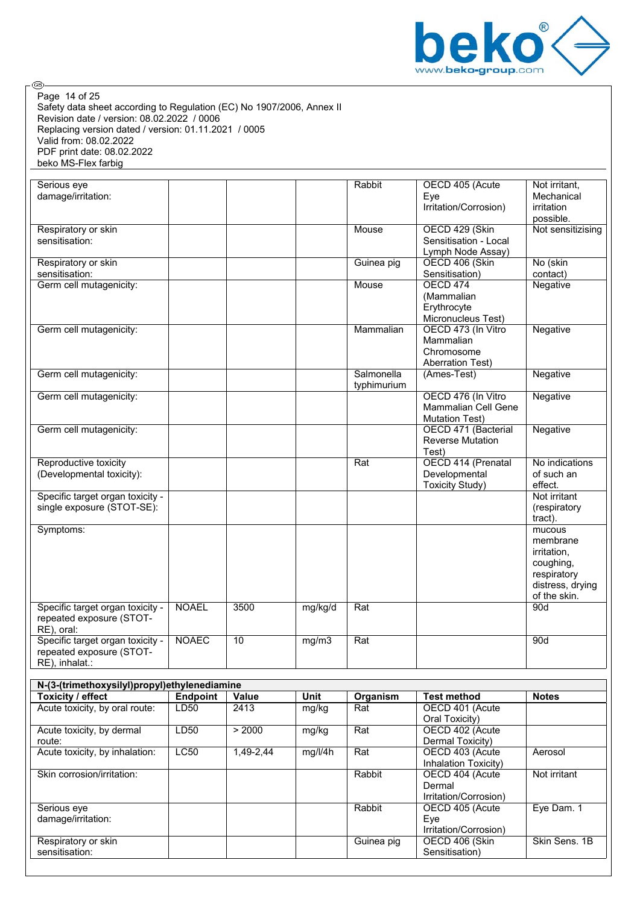

Safety data sheet according to Regulation (EC) No 1907/2006, Annex II Revision date / version: 08.02.2022 / 0006 Replacing version dated / version: 01.11.2021 / 0005 Valid from: 08.02.2022 PDF print date: 08.02.2022 beko MS-Flex farbig Page 14 of 25

| Respiratory or skin<br>sensitisation:                                          |              |      |         |                           |                                                                           | possible.                                                                                                |
|--------------------------------------------------------------------------------|--------------|------|---------|---------------------------|---------------------------------------------------------------------------|----------------------------------------------------------------------------------------------------------|
|                                                                                |              |      |         | Mouse                     | OECD 429 (Skin<br>Sensitisation - Local<br>Lymph Node Assay)              | Not sensitizising                                                                                        |
| Respiratory or skin<br>sensitisation:                                          |              |      |         | Guinea pig                | OECD 406 (Skin<br>Sensitisation)                                          | No (skin<br>contact)                                                                                     |
| Germ cell mutagenicity:                                                        |              |      |         | Mouse                     | <b>OECD 474</b><br>(Mammalian<br>Erythrocyte<br>Micronucleus Test)        | Negative                                                                                                 |
| Germ cell mutagenicity:                                                        |              |      |         | Mammalian                 | OECD 473 (In Vitro<br>Mammalian<br>Chromosome<br><b>Aberration Test)</b>  | <b>Negative</b>                                                                                          |
| Germ cell mutagenicity:                                                        |              |      |         | Salmonella<br>typhimurium | (Ames-Test)                                                               | Negative                                                                                                 |
| Germ cell mutagenicity:                                                        |              |      |         |                           | OECD 476 (In Vitro<br><b>Mammalian Cell Gene</b><br><b>Mutation Test)</b> | Negative                                                                                                 |
| Germ cell mutagenicity:                                                        |              |      |         |                           | OECD 471 (Bacterial<br><b>Reverse Mutation</b><br>Test)                   | Negative                                                                                                 |
| Reproductive toxicity<br>(Developmental toxicity):                             |              |      |         | Rat                       | OECD 414 (Prenatal<br>Developmental<br><b>Toxicity Study)</b>             | No indications<br>of such an<br>effect.                                                                  |
| Specific target organ toxicity -<br>single exposure (STOT-SE):                 |              |      |         |                           |                                                                           | Not irritant<br>(respiratory<br>tract).                                                                  |
| Symptoms:                                                                      |              |      |         |                           |                                                                           | mucous<br>membrane<br><i>irritation.</i><br>coughing,<br>respiratory<br>distress, drying<br>of the skin. |
| Specific target organ toxicity -<br>repeated exposure (STOT-<br>RE), oral:     | <b>NOAEL</b> | 3500 | mg/kg/d | Rat                       |                                                                           | 90d                                                                                                      |
| Specific target organ toxicity -<br>repeated exposure (STOT-<br>RE), inhalat.: | <b>NOAEC</b> | 10   | mg/m3   | Rat                       |                                                                           | 90d                                                                                                      |

| N-(3-(trimethoxysilyl)propyl)ethylenediamine |                 |           |         |            |                       |               |  |  |
|----------------------------------------------|-----------------|-----------|---------|------------|-----------------------|---------------|--|--|
| Toxicity / effect                            | <b>Endpoint</b> | Value     | Unit    | Organism   | <b>Test method</b>    | <b>Notes</b>  |  |  |
| Acute toxicity, by oral route:               | LD50            | 2413      | mg/kg   | Rat        | OECD 401 (Acute       |               |  |  |
|                                              |                 |           |         |            | Oral Toxicity)        |               |  |  |
| Acute toxicity, by dermal                    | LD50            | > 2000    | mg/kg   | Rat        | OECD 402 (Acute       |               |  |  |
| route:                                       |                 |           |         |            | Dermal Toxicity)      |               |  |  |
| Acute toxicity, by inhalation:               | <b>LC50</b>     | 1.49-2.44 | mq/l/4h | Rat        | OECD 403 (Acute       | Aerosol       |  |  |
|                                              |                 |           |         |            | Inhalation Toxicity)  |               |  |  |
| Skin corrosion/irritation:                   |                 |           |         | Rabbit     | OECD 404 (Acute       | Not irritant  |  |  |
|                                              |                 |           |         |            | Dermal                |               |  |  |
|                                              |                 |           |         |            | Irritation/Corrosion) |               |  |  |
| Serious eye                                  |                 |           |         | Rabbit     | OECD 405 (Acute       | Eye Dam. 1    |  |  |
| damage/irritation:                           |                 |           |         |            | Eve                   |               |  |  |
|                                              |                 |           |         |            | Irritation/Corrosion) |               |  |  |
| Respiratory or skin                          |                 |           |         | Guinea pig | OECD 406 (Skin        | Skin Sens, 1B |  |  |
| sensitisation:                               |                 |           |         |            | Sensitisation)        |               |  |  |
|                                              |                 |           |         |            |                       |               |  |  |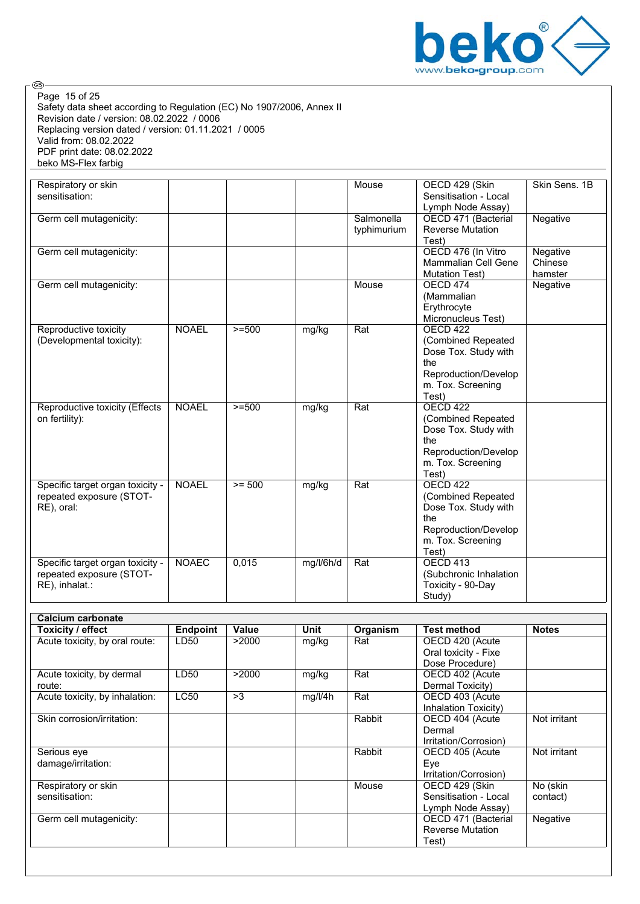

Safety data sheet according to Regulation (EC) No 1907/2006, Annex II Revision date / version: 08.02.2022 / 0006 Replacing version dated / version: 01.11.2021 / 0005 Valid from: 08.02.2022 PDF print date: 08.02.2022 beko MS-Flex farbig Page 15 of 25

| Respiratory or skin<br>sensitisation:                                             |              |          |           | Mouse                     | OECD 429 (Skin<br>Sensitisation - Local<br>Lymph Node Assay)                                                                   | Skin Sens. 1B                  |
|-----------------------------------------------------------------------------------|--------------|----------|-----------|---------------------------|--------------------------------------------------------------------------------------------------------------------------------|--------------------------------|
| Germ cell mutagenicity:                                                           |              |          |           | Salmonella<br>typhimurium | OECD 471 (Bacterial<br><b>Reverse Mutation</b><br>Test)                                                                        | Negative                       |
| Germ cell mutagenicity:                                                           |              |          |           |                           | OECD 476 (In Vitro<br>Mammalian Cell Gene<br><b>Mutation Test)</b>                                                             | Negative<br>Chinese<br>hamster |
| Germ cell mutagenicity:                                                           |              |          |           | Mouse                     | <b>OECD 474</b><br>(Mammalian<br>Erythrocyte<br>Micronucleus Test)                                                             | Negative                       |
| Reproductive toxicity<br>(Developmental toxicity):                                | <b>NOAEL</b> | $>=500$  | mg/kg     | Rat                       | OECD <sub>422</sub><br>(Combined Repeated<br>Dose Tox. Study with<br>the<br>Reproduction/Develop<br>m. Tox. Screening<br>Test) |                                |
| Reproductive toxicity (Effects<br>on fertility):                                  | <b>NOAEL</b> | $>= 500$ | mg/kg     | Rat                       | <b>OECD 422</b><br>(Combined Repeated<br>Dose Tox. Study with<br>the<br>Reproduction/Develop<br>m. Tox. Screening<br>Test)     |                                |
| Specific target organ toxicity -<br>repeated exposure (STOT-<br>RE), oral:        | <b>NOAEL</b> | $>= 500$ | mg/kg     | Rat                       | <b>OECD 422</b><br>(Combined Repeated<br>Dose Tox. Study with<br>the<br>Reproduction/Develop<br>m. Tox. Screening<br>Test)     |                                |
| Specific target organ toxicity -<br>repeated exposure (STOT-<br>$RE$ ), inhalat.: | <b>NOAEC</b> | 0,015    | mg/l/6h/d | Rat                       | <b>OECD 413</b><br>(Subchronic Inhalation<br>Toxicity - 90-Day<br>Study)                                                       |                                |
| <b>Calcium carbonate</b>                                                          |              |          |           |                           |                                                                                                                                |                                |

| Toxicity / effect              | <b>Endpoint</b>  | Value | Unit    | Organism | <b>Test method</b>      | <b>Notes</b> |
|--------------------------------|------------------|-------|---------|----------|-------------------------|--------------|
| Acute toxicity, by oral route: | LD50             | >2000 | mg/kg   | Rat      | OECD 420 (Acute         |              |
|                                |                  |       |         |          | Oral toxicity - Fixe    |              |
|                                |                  |       |         |          | Dose Procedure)         |              |
| Acute toxicity, by dermal      | LD <sub>50</sub> | >2000 | mg/kg   | Rat      | OECD 402 (Acute         |              |
| route:                         |                  |       |         |          | Dermal Toxicity)        |              |
| Acute toxicity, by inhalation: | <b>LC50</b>      | >3    | mg/l/4h | Rat      | OECD 403 (Acute         |              |
|                                |                  |       |         |          | Inhalation Toxicity)    |              |
| Skin corrosion/irritation:     |                  |       |         | Rabbit   | OECD 404 (Acute         | Not irritant |
|                                |                  |       |         |          | Dermal                  |              |
|                                |                  |       |         |          | Irritation/Corrosion)   |              |
| Serious eye                    |                  |       |         | Rabbit   | OECD 405 (Acute         | Not irritant |
| damage/irritation:             |                  |       |         |          | Eye                     |              |
|                                |                  |       |         |          | Irritation/Corrosion)   |              |
| Respiratory or skin            |                  |       |         | Mouse    | OECD 429 (Skin          | No (skin     |
| sensitisation:                 |                  |       |         |          | Sensitisation - Local   | contact)     |
|                                |                  |       |         |          | Lymph Node Assay)       |              |
| Germ cell mutagenicity:        |                  |       |         |          | OECD 471 (Bacterial     | Negative     |
|                                |                  |       |         |          | <b>Reverse Mutation</b> |              |
|                                |                  |       |         |          | Test)                   |              |
|                                |                  |       |         |          |                         |              |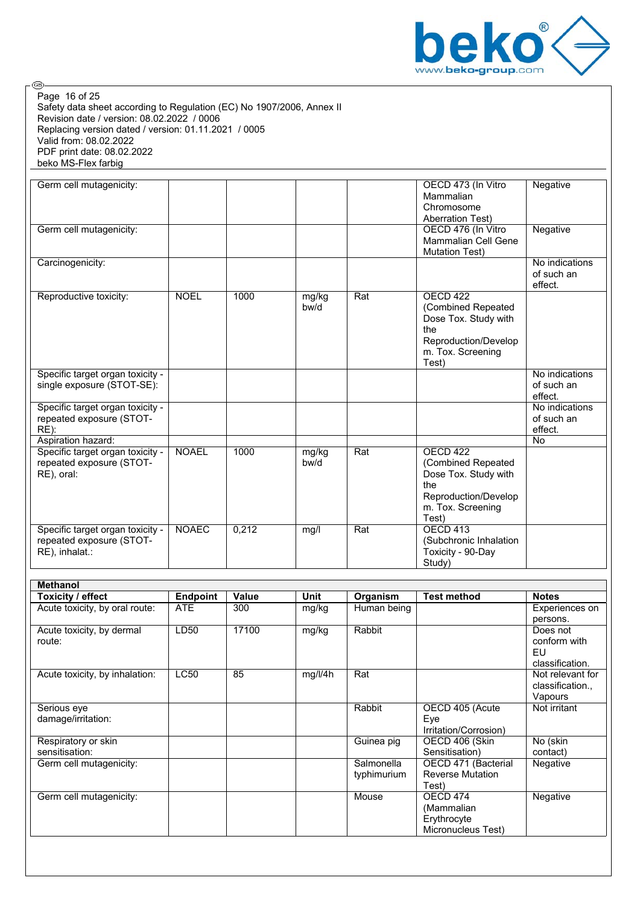

Safety data sheet according to Regulation (EC) No 1907/2006, Annex II Revision date / version: 08.02.2022 / 0006 Replacing version dated / version: 01.11.2021 / 0005 Valid from: 08.02.2022 PDF print date: 08.02.2022 beko MS-Flex farbig Page 16 of 25

| Germ cell mutagenicity:                                                        |                 |       |               |             | OECD 473 (In Vitro<br>Mammalian<br>Chromosome<br><b>Aberration Test)</b>                                                   | Negative                                                                                                                                                                                                                                                         |
|--------------------------------------------------------------------------------|-----------------|-------|---------------|-------------|----------------------------------------------------------------------------------------------------------------------------|------------------------------------------------------------------------------------------------------------------------------------------------------------------------------------------------------------------------------------------------------------------|
| Germ cell mutagenicity:                                                        |                 |       |               |             | OECD 476 (In Vitro<br><b>Mammalian Cell Gene</b><br><b>Mutation Test)</b>                                                  | Negative                                                                                                                                                                                                                                                         |
| Carcinogenicity:                                                               |                 |       |               |             |                                                                                                                            | No indications<br>of such an<br>effect.                                                                                                                                                                                                                          |
| Reproductive toxicity:                                                         | <b>NOEL</b>     | 1000  | mg/kg<br>bw/d | Rat         | OECD 422<br>(Combined Repeated<br>Dose Tox. Study with<br>the<br>Reproduction/Develop<br>m. Tox. Screening<br>Test)        |                                                                                                                                                                                                                                                                  |
| Specific target organ toxicity -<br>single exposure (STOT-SE):                 |                 |       |               |             |                                                                                                                            | No indications<br>of such an<br>effect.                                                                                                                                                                                                                          |
| Specific target organ toxicity -<br>repeated exposure (STOT-<br>RE):           |                 |       |               |             |                                                                                                                            | No indications<br>of such an<br>effect.                                                                                                                                                                                                                          |
| Aspiration hazard:                                                             |                 |       |               |             |                                                                                                                            | No                                                                                                                                                                                                                                                               |
| Specific target organ toxicity -<br>repeated exposure (STOT-<br>RE), oral:     | <b>NOAEL</b>    | 1000  | mg/kg<br>bw/d | Rat         | <b>OECD 422</b><br>(Combined Repeated<br>Dose Tox. Study with<br>the<br>Reproduction/Develop<br>m. Tox. Screening<br>Test) |                                                                                                                                                                                                                                                                  |
| Specific target organ toxicity -<br>repeated exposure (STOT-<br>RE), inhalat.: | <b>NOAEC</b>    | 0,212 | mg/l          | Rat         | <b>OECD 413</b><br>(Subchronic Inhalation<br>Toxicity - 90-Day<br>Study)                                                   |                                                                                                                                                                                                                                                                  |
| <b>Methanol</b>                                                                |                 |       |               |             |                                                                                                                            |                                                                                                                                                                                                                                                                  |
| Toxicity / effect                                                              | <b>Endpoint</b> | Value | <b>Unit</b>   | Organism    | <b>Test method</b>                                                                                                         | <b>Notes</b>                                                                                                                                                                                                                                                     |
| Acute toxicity, by oral route:                                                 | <b>ATE</b>      | 300   | mg/kg         | Human being |                                                                                                                            | Experiences on<br>persons.                                                                                                                                                                                                                                       |
| Acute toxicity, by dermal<br>route:                                            | <b>LD50</b>     | 17100 | mg/kg         | Rabbit      |                                                                                                                            | Does not<br>conform with<br>EU<br>and the control of the control of the control of the control of the control of the control of the control of the control of the control of the control of the control of the control of the control of the control of the cont |

| ivult.                         |             |    |         |             |                         | <b>UUITUITI WILLI</b><br>EU |
|--------------------------------|-------------|----|---------|-------------|-------------------------|-----------------------------|
|                                |             |    |         |             |                         | classification.             |
| Acute toxicity, by inhalation: | <b>LC50</b> | 85 | mg/l/4h | Rat         |                         | Not relevant for            |
|                                |             |    |         |             |                         | classification              |
|                                |             |    |         |             |                         | Vapours                     |
| Serious eye                    |             |    |         | Rabbit      | OECD 405 (Acute         | Not irritant                |
| damage/irritation:             |             |    |         |             | Eye                     |                             |
|                                |             |    |         |             | Irritation/Corrosion)   |                             |
| Respiratory or skin            |             |    |         | Guinea pig  | OECD 406 (Skin          | No (skin                    |
| sensitisation:                 |             |    |         |             | Sensitisation)          | contact)                    |
| Germ cell mutagenicity:        |             |    |         | Salmonella  | OECD 471 (Bacterial     | Negative                    |
|                                |             |    |         | typhimurium | <b>Reverse Mutation</b> |                             |
|                                |             |    |         |             | Test)                   |                             |
| Germ cell mutagenicity:        |             |    |         | Mouse       | OECD 474                | Negative                    |
|                                |             |    |         |             | (Mammalian              |                             |
|                                |             |    |         |             | Erythrocyte             |                             |
|                                |             |    |         |             | Micronucleus Test)      |                             |
|                                |             |    |         |             |                         |                             |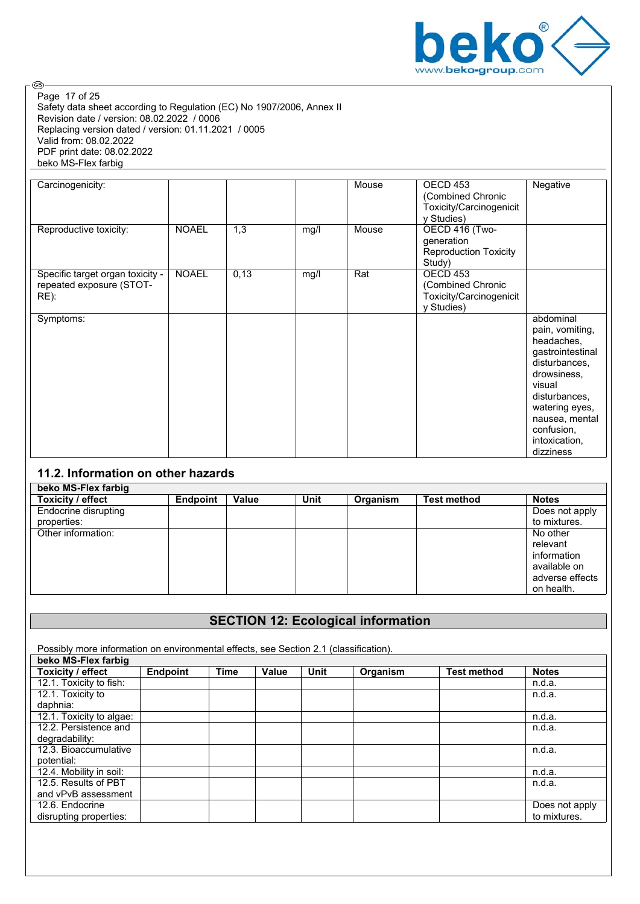

Safety data sheet according to Regulation (EC) No 1907/2006, Annex II Revision date / version: 08.02.2022 / 0006 Replacing version dated / version: 01.11.2021 / 0005 Valid from: 08.02.2022 PDF print date: 08.02.2022 beko MS-Flex farbig Page 17 of 25

| Carcinogenicity:                                                     |              |      |      | Mouse | OECD <sub>453</sub><br>(Combined Chronic<br>Toxicity/Carcinogenicit<br>y Studies) | Negative                                                                                                                                                                                                  |
|----------------------------------------------------------------------|--------------|------|------|-------|-----------------------------------------------------------------------------------|-----------------------------------------------------------------------------------------------------------------------------------------------------------------------------------------------------------|
| Reproductive toxicity:                                               | <b>NOAEL</b> | 1,3  | mg/l | Mouse | OECD 416 (Two-<br>generation<br><b>Reproduction Toxicity</b><br>Study)            |                                                                                                                                                                                                           |
| Specific target organ toxicity -<br>repeated exposure (STOT-<br>RE): | <b>NOAEL</b> | 0,13 | mg/l | Rat   | OECD <sub>453</sub><br>(Combined Chronic<br>Toxicity/Carcinogenicit<br>y Studies) |                                                                                                                                                                                                           |
| Symptoms:                                                            |              |      |      |       |                                                                                   | abdominal<br>pain, vomiting,<br>headaches,<br>gastrointestinal<br>disturbances,<br>drowsiness,<br>visual<br>disturbances,<br>watering eyes,<br>nausea, mental<br>confusion,<br>intoxication,<br>dizziness |

## **11.2. Information on other hazards**

| beko MS-Flex farbig  |                 |       |      |          |                    |                 |
|----------------------|-----------------|-------|------|----------|--------------------|-----------------|
| Toxicity / effect    | <b>Endpoint</b> | Value | Unit | Organism | <b>Test method</b> | <b>Notes</b>    |
| Endocrine disrupting |                 |       |      |          |                    | Does not apply  |
| properties:          |                 |       |      |          |                    | to mixtures.    |
| Other information:   |                 |       |      |          |                    | No other        |
|                      |                 |       |      |          |                    | relevant        |
|                      |                 |       |      |          |                    | information     |
|                      |                 |       |      |          |                    | available on    |
|                      |                 |       |      |          |                    | adverse effects |
|                      |                 |       |      |          |                    | on health.      |

## **SECTION 12: Ecological information**

Possibly more information on environmental effects, see Section 2.1 (classification).

| beko MS-Flex farbig      |                 |             |       |             |          |                    |                |
|--------------------------|-----------------|-------------|-------|-------------|----------|--------------------|----------------|
| Toxicity / effect        | <b>Endpoint</b> | <b>Time</b> | Value | <b>Unit</b> | Organism | <b>Test method</b> | <b>Notes</b>   |
| 12.1. Toxicity to fish:  |                 |             |       |             |          |                    | n.d.a.         |
| 12.1. Toxicity to        |                 |             |       |             |          |                    | n.d.a.         |
| daphnia:                 |                 |             |       |             |          |                    |                |
| 12.1. Toxicity to algae: |                 |             |       |             |          |                    | n.d.a.         |
| 12.2. Persistence and    |                 |             |       |             |          |                    | n.d.a.         |
| degradability:           |                 |             |       |             |          |                    |                |
| 12.3. Bioaccumulative    |                 |             |       |             |          |                    | n.d.a.         |
| potential:               |                 |             |       |             |          |                    |                |
| 12.4. Mobility in soil:  |                 |             |       |             |          |                    | n.d.a.         |
| 12.5. Results of PBT     |                 |             |       |             |          |                    | n.d.a.         |
| and vPvB assessment      |                 |             |       |             |          |                    |                |
| 12.6. Endocrine          |                 |             |       |             |          |                    | Does not apply |
| disrupting properties:   |                 |             |       |             |          |                    | to mixtures.   |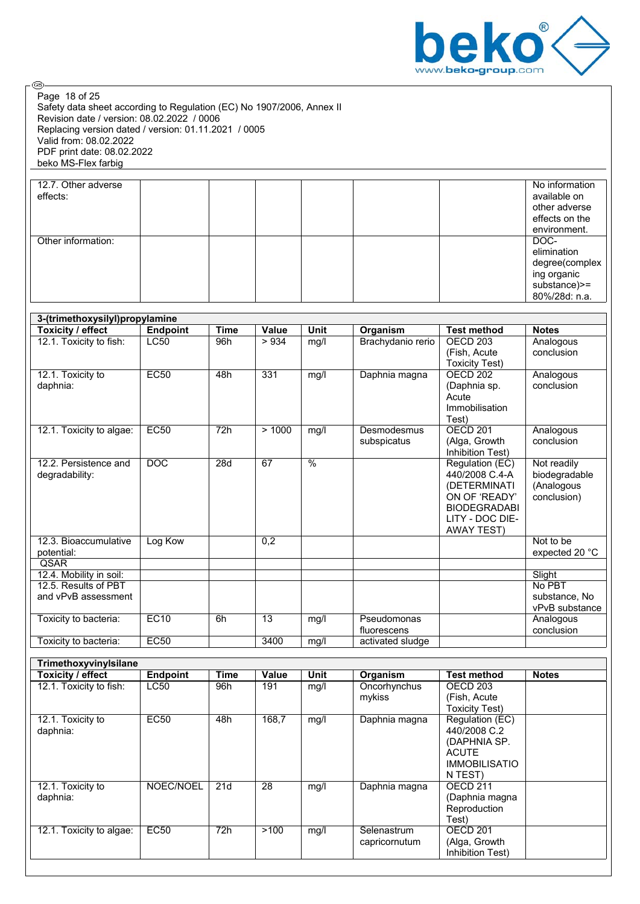

Safety data sheet according to Regulation (EC) No 1907/2006, Annex II Revision date / version: 08.02.2022 / 0006 Replacing version dated / version: 01.11.2021 / 0005 Valid from: 08.02.2022 PDF print date: 08.02.2022 beko MS-Flex farbig Page 18 of 25

| 12.7. Other adverse |  |  |  | No information |
|---------------------|--|--|--|----------------|
| effects:            |  |  |  | available on   |
|                     |  |  |  | other adverse  |
|                     |  |  |  | effects on the |
|                     |  |  |  | environment.   |
| Other information:  |  |  |  | DOC-           |
|                     |  |  |  | elimination    |
|                     |  |  |  | degree(complex |
|                     |  |  |  | ing organic    |
|                     |  |  |  | substance) >=  |
|                     |  |  |  | 80%/28d: n.a.  |

| 3-(trimethoxysilyl)propylamine |                 |             |       |               |                   |                       |                |  |  |  |
|--------------------------------|-----------------|-------------|-------|---------------|-------------------|-----------------------|----------------|--|--|--|
| Toxicity / effect              | <b>Endpoint</b> | <b>Time</b> | Value | <b>Unit</b>   | Organism          | <b>Test method</b>    | <b>Notes</b>   |  |  |  |
| 12.1. Toxicity to fish:        | <b>LC50</b>     | 96h         | >934  | mg/l          | Brachydanio rerio | OECD <sub>203</sub>   | Analogous      |  |  |  |
|                                |                 |             |       |               |                   | (Fish, Acute          | conclusion     |  |  |  |
|                                |                 |             |       |               |                   | <b>Toxicity Test)</b> |                |  |  |  |
| 12.1. Toxicity to              | <b>EC50</b>     | 48h         | 331   | mg/l          | Daphnia magna     | OECD <sub>202</sub>   | Analogous      |  |  |  |
| daphnia:                       |                 |             |       |               |                   | (Daphnia sp.          | conclusion     |  |  |  |
|                                |                 |             |       |               |                   | Acute                 |                |  |  |  |
|                                |                 |             |       |               |                   | Immobilisation        |                |  |  |  |
|                                |                 |             |       |               |                   | Test)                 |                |  |  |  |
| 12.1. Toxicity to algae:       | EC50            | 72h         | >1000 | mg/l          | Desmodesmus       | <b>OECD 201</b>       | Analogous      |  |  |  |
|                                |                 |             |       |               | subspicatus       | (Alga, Growth         | conclusion     |  |  |  |
|                                |                 |             |       |               |                   | Inhibition Test)      |                |  |  |  |
| 12.2. Persistence and          | DOC             | 28d         | 67    | $\frac{0}{6}$ |                   | Regulation (EC)       | Not readily    |  |  |  |
| degradability:                 |                 |             |       |               |                   | 440/2008 C.4-A        | biodegradable  |  |  |  |
|                                |                 |             |       |               |                   | (DETERMINATI          | (Analogous     |  |  |  |
|                                |                 |             |       |               |                   | ON OF 'READY'         | conclusion)    |  |  |  |
|                                |                 |             |       |               |                   | <b>BIODEGRADABI</b>   |                |  |  |  |
|                                |                 |             |       |               |                   | LITY - DOC DIE-       |                |  |  |  |
|                                |                 |             |       |               |                   | <b>AWAY TEST)</b>     |                |  |  |  |
| 12.3. Bioaccumulative          | Log Kow         |             | 0,2   |               |                   |                       | Not to be      |  |  |  |
| potential:                     |                 |             |       |               |                   |                       | expected 20 °C |  |  |  |
| QSAR                           |                 |             |       |               |                   |                       |                |  |  |  |
| 12.4. Mobility in soil:        |                 |             |       |               |                   |                       | Slight         |  |  |  |
| 12.5. Results of PBT           |                 |             |       |               |                   |                       | No PBT         |  |  |  |
| and vPvB assessment            |                 |             |       |               |                   |                       | substance, No  |  |  |  |
|                                |                 |             |       |               |                   |                       | vPvB substance |  |  |  |
| Toxicity to bacteria:          | <b>EC10</b>     | 6h          | 13    | mg/l          | Pseudomonas       |                       | Analogous      |  |  |  |
|                                |                 |             |       |               | fluorescens       |                       | conclusion     |  |  |  |
| Toxicity to bacteria:          | <b>EC50</b>     |             | 3400  | mg/l          | activated sludge  |                       |                |  |  |  |

| Trimethoxyvinylsilane    |                 |      |              |      |               |                       |              |
|--------------------------|-----------------|------|--------------|------|---------------|-----------------------|--------------|
| Toxicity / effect        | <b>Endpoint</b> | Time | <b>Value</b> | Unit | Organism      | <b>Test method</b>    | <b>Notes</b> |
| 12.1. Toxicity to fish:  | <b>LC50</b>     | 96h  | 191          | mg/l | Oncorhynchus  | OECD <sub>203</sub>   |              |
|                          |                 |      |              |      | mykiss        | (Fish, Acute)         |              |
|                          |                 |      |              |      |               | <b>Toxicity Test)</b> |              |
| 12.1. Toxicity to        | <b>EC50</b>     | 48h  | 168,7        | mg/l | Daphnia magna | Regulation (EC)       |              |
| daphnia:                 |                 |      |              |      |               | 440/2008 C.2          |              |
|                          |                 |      |              |      |               | (DAPHNIA SP.          |              |
|                          |                 |      |              |      |               | <b>ACUTE</b>          |              |
|                          |                 |      |              |      |               | <b>IMMOBILISATIO</b>  |              |
|                          |                 |      |              |      |               | N TEST)               |              |
| 12.1. Toxicity to        | NOEC/NOEL       | 21d  | 28           | mg/l | Daphnia magna | OECD 211              |              |
| daphnia:                 |                 |      |              |      |               | (Daphnia magna        |              |
|                          |                 |      |              |      |               | Reproduction          |              |
|                          |                 |      |              |      |               | Test)                 |              |
| 12.1. Toxicity to algae: | <b>EC50</b>     | 72h  | >100         | mg/l | Selenastrum   | OECD 201              |              |
|                          |                 |      |              |      | capricornutum | (Alga, Growth         |              |
|                          |                 |      |              |      |               | Inhibition Test)      |              |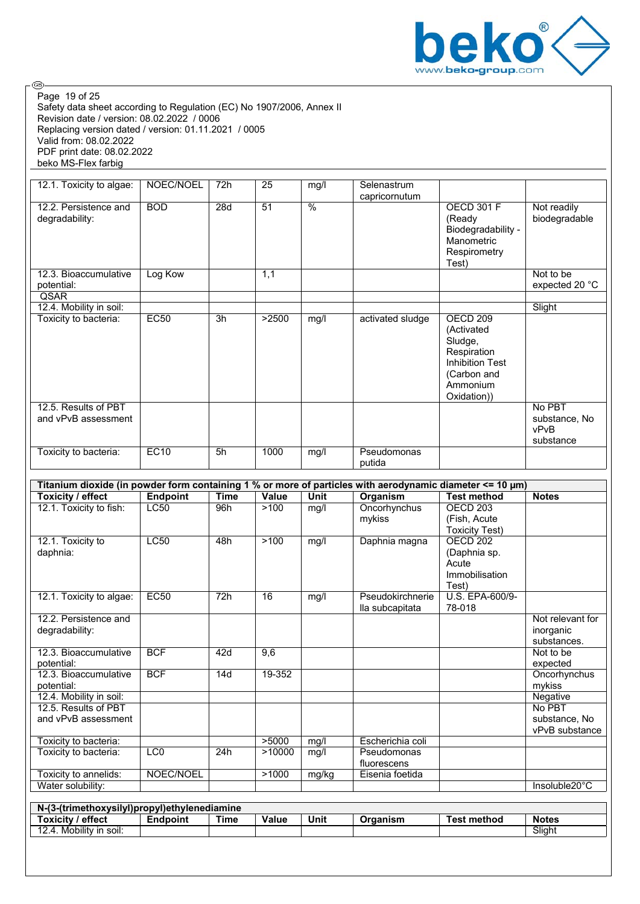

Safety data sheet according to Regulation (EC) No 1907/2006, Annex II Revision date / version: 08.02.2022 / 0006 Replacing version dated / version: 01.11.2021 / 0005 Valid from: 08.02.2022 PDF print date: 08.02.2022 beko MS-Flex farbig Page 19 of 25

| 12.1. Toxicity to algae:                    | NOEC/NOEL   | 72h | 25    | mg/l                     | Selenastrum<br>capricornutum |                                                                                                                                 |                                 |
|---------------------------------------------|-------------|-----|-------|--------------------------|------------------------------|---------------------------------------------------------------------------------------------------------------------------------|---------------------------------|
| 12.2. Persistence and<br>degradability:     | <b>BOD</b>  | 28d | 51    | $\overline{\frac{9}{6}}$ |                              | <b>OECD 301 F</b><br>(Ready<br>Biodegradability -<br>Manometric<br>Respirometry<br>Test)                                        | Not readily<br>biodegradable    |
| 12.3. Bioaccumulative<br>potential:         | Log Kow     |     | 1,1   |                          |                              |                                                                                                                                 | Not to be<br>expected 20 °C     |
| QSAR                                        |             |     |       |                          |                              |                                                                                                                                 |                                 |
| 12.4. Mobility in soil:                     |             |     |       |                          |                              |                                                                                                                                 | Slight                          |
| Toxicity to bacteria:                       | <b>EC50</b> | 3h  | >2500 | mg/l                     | activated sludge             | OECD <sub>209</sub><br>(Activated<br>Sludge,<br>Respiration<br><b>Inhibition Test</b><br>(Carbon and<br>Ammonium<br>Oxidation)) |                                 |
| 12.5. Results of PBT<br>and vPvB assessment |             |     |       |                          |                              |                                                                                                                                 | No PBT<br>substance, No<br>vPvB |
| Toxicity to bacteria:                       | EC10        | 5h  | 1000  | mg/l                     | Pseudomonas<br>putida        |                                                                                                                                 | substance                       |

| Titanium dioxide (in powder form containing 1 % or more of particles with aerodynamic diameter <= 10 μm) |                 |                  |        |             |                  |                       |                  |  |  |  |
|----------------------------------------------------------------------------------------------------------|-----------------|------------------|--------|-------------|------------------|-----------------------|------------------|--|--|--|
| Toxicity / effect                                                                                        | <b>Endpoint</b> | <b>Time</b>      | Value  | <b>Unit</b> | Organism         | <b>Test method</b>    | <b>Notes</b>     |  |  |  |
| 12.1. Toxicity to fish:                                                                                  | LC50            | 96h              | >100   | mg/l        | Oncorhynchus     | OECD <sub>203</sub>   |                  |  |  |  |
|                                                                                                          |                 |                  |        |             | mykiss           | (Fish, Acute)         |                  |  |  |  |
|                                                                                                          |                 |                  |        |             |                  | <b>Toxicity Test)</b> |                  |  |  |  |
| 12.1. Toxicity to                                                                                        | <b>LC50</b>     | 48h              | >100   | mg/l        | Daphnia magna    | OECD <sub>202</sub>   |                  |  |  |  |
| daphnia:                                                                                                 |                 |                  |        |             |                  | (Daphnia sp.          |                  |  |  |  |
|                                                                                                          |                 |                  |        |             |                  | Acute                 |                  |  |  |  |
|                                                                                                          |                 |                  |        |             |                  | Immobilisation        |                  |  |  |  |
|                                                                                                          |                 |                  |        |             |                  | Test)                 |                  |  |  |  |
| 12.1. Toxicity to algae:                                                                                 | <b>EC50</b>     | 72h              | 16     | mg/l        | Pseudokirchnerie | U.S. EPA-600/9-       |                  |  |  |  |
|                                                                                                          |                 |                  |        |             | lla subcapitata  | 78-018                |                  |  |  |  |
| 12.2. Persistence and                                                                                    |                 |                  |        |             |                  |                       | Not relevant for |  |  |  |
| degradability:                                                                                           |                 |                  |        |             |                  |                       | inorganic        |  |  |  |
|                                                                                                          |                 |                  |        |             |                  |                       | substances.      |  |  |  |
| 12.3. Bioaccumulative                                                                                    | <b>BCF</b>      | 42d              | 9,6    |             |                  |                       | Not to be        |  |  |  |
| potential:                                                                                               |                 |                  |        |             |                  |                       | expected         |  |  |  |
| 12.3. Bioaccumulative                                                                                    | <b>BCF</b>      | 14d              | 19-352 |             |                  |                       | Oncorhynchus     |  |  |  |
| potential:                                                                                               |                 |                  |        |             |                  |                       | mykiss           |  |  |  |
| 12.4. Mobility in soil:                                                                                  |                 |                  |        |             |                  |                       | Negative         |  |  |  |
| 12.5. Results of PBT                                                                                     |                 |                  |        |             |                  |                       | No PBT           |  |  |  |
| and vPvB assessment                                                                                      |                 |                  |        |             |                  |                       | substance, No    |  |  |  |
|                                                                                                          |                 |                  |        |             |                  |                       | vPvB substance   |  |  |  |
| Toxicity to bacteria:                                                                                    |                 |                  | >5000  | mg/l        | Escherichia coli |                       |                  |  |  |  |
| Toxicity to bacteria:                                                                                    | LC <sub>0</sub> | $\overline{24}h$ | >10000 | mg/l        | Pseudomonas      |                       |                  |  |  |  |
|                                                                                                          |                 |                  |        |             | fluorescens      |                       |                  |  |  |  |
| Toxicity to annelids:                                                                                    | NOEC/NOEL       |                  | >1000  | mg/kg       | Eisenia foetida  |                       |                  |  |  |  |
| Water solubility:                                                                                        |                 |                  |        |             |                  |                       | Insoluble20°C    |  |  |  |
|                                                                                                          |                 |                  |        |             |                  |                       |                  |  |  |  |

| N-(3-(trimethoxysilyl)propyl)ethylenediamine |          |      |       |      |          |                    |              |  |  |  |
|----------------------------------------------|----------|------|-------|------|----------|--------------------|--------------|--|--|--|
| Toxicity / effect                            | Endpoint | Time | Value | Unit | Organism | <b>Test method</b> | <b>Notes</b> |  |  |  |
| 12.4. Mobility in soil:                      |          |      |       |      |          |                    | Sliaht       |  |  |  |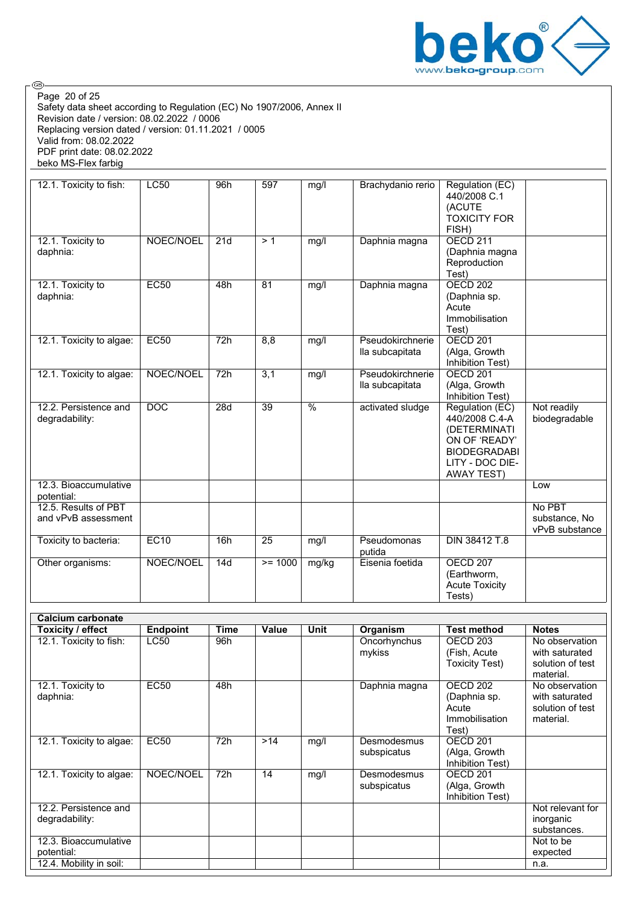

Safety data sheet according to Regulation (EC) No 1907/2006, Annex II Revision date / version: 08.02.2022 / 0006 Replacing version dated / version: 01.11.2021 / 0005 Valid from: 08.02.2022 PDF print date: 08.02.2022 beko MS-Flex farbig Page 20 of 25

| 12.1. Toxicity to fish:                     | <b>LC50</b>      | 96h | 597       | mg/l            | Brachydanio rerio                   | Regulation (EC)<br>440/2008 C.1<br>(ACUTE<br><b>TOXICITY FOR</b><br>FISH)                                                         |                                           |
|---------------------------------------------|------------------|-----|-----------|-----------------|-------------------------------------|-----------------------------------------------------------------------------------------------------------------------------------|-------------------------------------------|
| 12.1. Toxicity to<br>daphnia:               | NOEC/NOEL        | 21d | > 1       | mg/l            | Daphnia magna                       | OECD <sub>211</sub><br>(Daphnia magna<br>Reproduction<br>Test)                                                                    |                                           |
| 12.1. Toxicity to<br>daphnia:               | <b>EC50</b>      | 48h | 81        | mg/l            | Daphnia magna                       | <b>OECD 202</b><br>(Daphnia sp.<br>Acute<br>Immobilisation<br>Test)                                                               |                                           |
| 12.1. Toxicity to algae:                    | <b>EC50</b>      | 72h | 8,8       | mg/l            | Pseudokirchnerie<br>lla subcapitata | <b>OECD 201</b><br>(Alga, Growth<br>Inhibition Test)                                                                              |                                           |
| 12.1. Toxicity to algae:                    | NOEC/NOEL        | 72h | 3,1       | mg/l            | Pseudokirchnerie<br>lla subcapitata | OECD <sub>201</sub><br>(Alga, Growth<br>Inhibition Test)                                                                          |                                           |
| 12.2. Persistence and<br>degradability:     | $\overline{DOC}$ | 28d | 39        | $\overline{\%}$ | activated sludge                    | Regulation (EC)<br>440/2008 C.4-A<br>(DETERMINATI<br>ON OF 'READY'<br><b>BIODEGRADABI</b><br>LITY - DOC DIE-<br><b>AWAY TEST)</b> | Not readily<br>biodegradable              |
| 12.3. Bioaccumulative<br>potential:         |                  |     |           |                 |                                     |                                                                                                                                   | Low                                       |
| 12.5. Results of PBT<br>and vPvB assessment |                  |     |           |                 |                                     |                                                                                                                                   | No PBT<br>substance, No<br>vPvB substance |
| Toxicity to bacteria:                       | EC10             | 16h | 25        | mg/l            | Pseudomonas<br>putida               | DIN 38412 T.8                                                                                                                     |                                           |
| Other organisms:                            | NOEC/NOEL        | 14d | $>= 1000$ | mg/kg           | Eisenia foetida                     | <b>OECD 207</b><br>(Earthworm,<br><b>Acute Toxicity</b><br>Tests)                                                                 |                                           |

| Calcium carbonate                       |                 |             |       |      |                            |                                                              |                                                                   |  |  |  |  |
|-----------------------------------------|-----------------|-------------|-------|------|----------------------------|--------------------------------------------------------------|-------------------------------------------------------------------|--|--|--|--|
| Toxicity / effect                       | <b>Endpoint</b> | <b>Time</b> | Value | Unit | Organism                   | <b>Test method</b>                                           | <b>Notes</b>                                                      |  |  |  |  |
| 12.1. Toxicity to fish:                 | <b>LC50</b>     | 96h         |       |      | Oncorhynchus<br>mykiss     | OECD <sub>203</sub><br>(Fish, Acute<br><b>Toxicity Test)</b> | No observation<br>with saturated<br>solution of test<br>material. |  |  |  |  |
| 12.1. Toxicity to<br>daphnia:           | <b>EC50</b>     | 48h         |       |      | Daphnia magna              | OECD 202<br>(Daphnia sp.<br>Acute<br>Immobilisation<br>Test) | No observation<br>with saturated<br>solution of test<br>material. |  |  |  |  |
| 12.1. Toxicity to algae:                | <b>EC50</b>     | 72h         | >14   | mg/l | Desmodesmus<br>subspicatus | OECD <sub>201</sub><br>(Alga, Growth<br>Inhibition Test)     |                                                                   |  |  |  |  |
| 12.1. Toxicity to algae:                | NOEC/NOEL       | 72h         | 14    | mg/l | Desmodesmus<br>subspicatus | OECD <sub>201</sub><br>(Alga, Growth<br>Inhibition Test)     |                                                                   |  |  |  |  |
| 12.2. Persistence and<br>degradability: |                 |             |       |      |                            |                                                              | Not relevant for<br>inorganic<br>substances.                      |  |  |  |  |
| 12.3. Bioaccumulative<br>potential:     |                 |             |       |      |                            |                                                              | Not to be<br>expected                                             |  |  |  |  |
| 12.4. Mobility in soil:                 |                 |             |       |      |                            |                                                              | n.a.                                                              |  |  |  |  |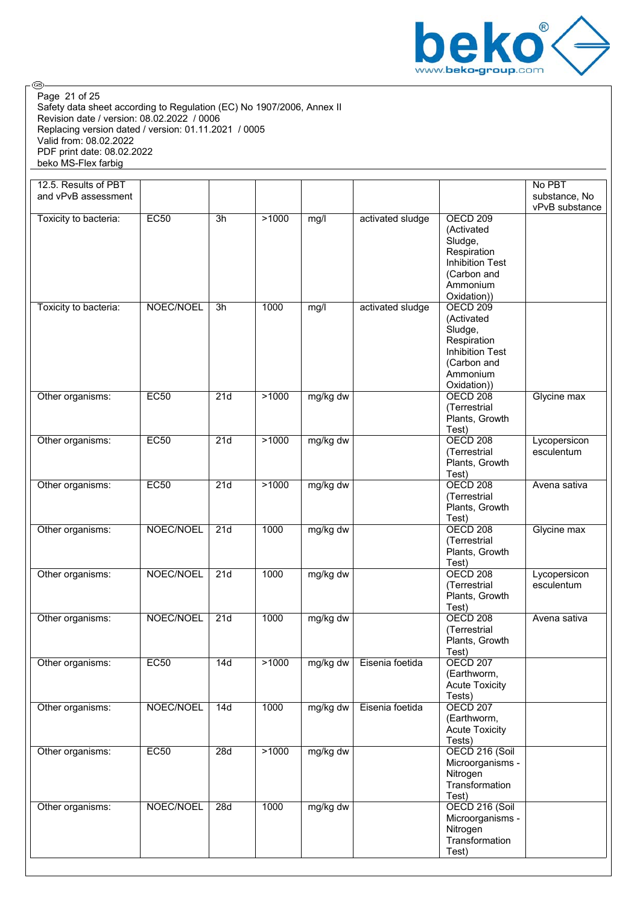

Safety data sheet according to Regulation (EC) No 1907/2006, Annex II Revision date / version: 08.02.2022 / 0006 Replacing version dated / version: 01.11.2021 / 0005 Valid from: 08.02.2022 PDF print date: 08.02.2022 beko MS-Flex farbig Page 21 of 25

| 12.5. Results of PBT<br>and vPvB assessment |             |     |       |          |                  |                                                                                                                             | No PBT<br>substance, No<br>vPvB substance |
|---------------------------------------------|-------------|-----|-------|----------|------------------|-----------------------------------------------------------------------------------------------------------------------------|-------------------------------------------|
| Toxicity to bacteria:                       | <b>EC50</b> | 3h  | >1000 | mg/l     | activated sludge | <b>OECD 209</b><br>(Activated<br>Sludge,<br>Respiration<br><b>Inhibition Test</b><br>(Carbon and<br>Ammonium<br>Oxidation)) |                                           |
| Toxicity to bacteria:                       | NOEC/NOEL   | 3h  | 1000  | mg/l     | activated sludge | <b>OECD 209</b><br>(Activated<br>Sludge,<br>Respiration<br><b>Inhibition Test</b><br>(Carbon and<br>Ammonium<br>Oxidation)) |                                           |
| Other organisms:                            | EC50        | 21d | >1000 | mg/kg dw |                  | <b>OECD 208</b><br>(Terrestrial<br>Plants, Growth<br>Test)                                                                  | Glycine max                               |
| Other organisms:                            | EC50        | 21d | >1000 | mg/kg dw |                  | <b>OECD 208</b><br>(Terrestrial<br>Plants, Growth<br>Test)                                                                  | Lycopersicon<br>esculentum                |
| Other organisms:                            | EC50        | 21d | >1000 | mg/kg dw |                  | <b>OECD 208</b><br>(Terrestrial<br>Plants, Growth<br>Test)                                                                  | Avena sativa                              |
| Other organisms:                            | NOEC/NOEL   | 21d | 1000  | mg/kg dw |                  | <b>OECD 208</b><br>(Terrestrial<br>Plants, Growth<br>Test)                                                                  | Glycine max                               |
| Other organisms:                            | NOEC/NOEL   | 21d | 1000  | mg/kg dw |                  | <b>OECD 208</b><br>(Terrestrial<br>Plants, Growth<br>Test)                                                                  | Lycopersicon<br>esculentum                |
| Other organisms:                            | NOEC/NOEL   | 21d | 1000  | mg/kg dw |                  | <b>OECD 208</b><br>(Terrestrial<br>Plants, Growth<br>Test)                                                                  | Avena sativa                              |
| Other organisms:                            | <b>EC50</b> | 14d | >1000 | mg/kg dw | Eisenia foetida  | <b>OECD 207</b><br>(Earthworm,<br><b>Acute Toxicity</b><br>Tests)                                                           |                                           |
| Other organisms:                            | NOEC/NOEL   | 14d | 1000  | mg/kg dw | Eisenia foetida  | <b>OECD 207</b><br>(Earthworm,<br><b>Acute Toxicity</b><br>Tests)                                                           |                                           |
| Other organisms:                            | EC50        | 28d | >1000 | mg/kg dw |                  | OECD 216 (Soil<br>Microorganisms -<br>Nitrogen<br>Transformation<br>Test)                                                   |                                           |
| Other organisms:                            | NOEC/NOEL   | 28d | 1000  | mg/kg dw |                  | OECD 216 (Soil<br>Microorganisms -<br>Nitrogen<br>Transformation<br>Test)                                                   |                                           |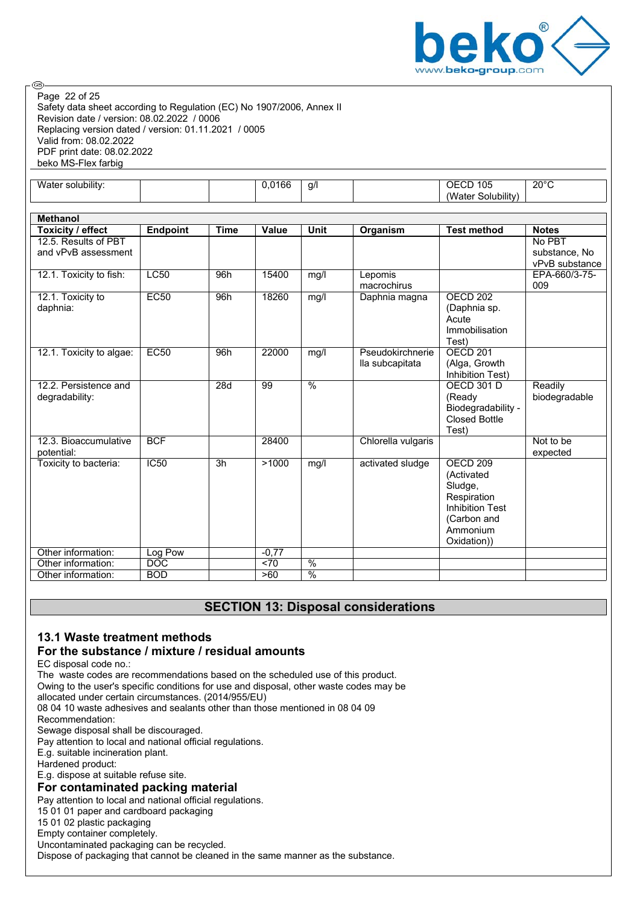

Safety data sheet according to Regulation (EC) No 1907/2006, Annex II Revision date / version: 08.02.2022 / 0006 Replacing version dated / version: 01.11.2021 / 0005 Valid from: 08.02.2022 PDF print date: 08.02.2022 beko MS-Flex farbig Page 22 of 25

| .<br>$\ddot{\phantom{a}}$<br>۱۸I۰<br>solubility <sup>.</sup><br>ater |  | $\sim$<br>ı ot<br>ັ. | -a/l<br>. . | $\sim$ $\sim$ $\sim$<br>)F<br>I UC<br>ີ          | 20°∩<br>. . |
|----------------------------------------------------------------------|--|----------------------|-------------|--------------------------------------------------|-------------|
|                                                                      |  |                      |             | $\cdots$<br>'W<br><b>iubilit</b><br>---<br>.ater |             |

| <b>Methanol</b>          |                 |             |              |                          |                    |                                   |                |
|--------------------------|-----------------|-------------|--------------|--------------------------|--------------------|-----------------------------------|----------------|
| Toxicity / effect        | <b>Endpoint</b> | <b>Time</b> | <b>Value</b> | <b>Unit</b>              | Organism           | <b>Test method</b>                | <b>Notes</b>   |
| 12.5. Results of PBT     |                 |             |              |                          |                    |                                   | No PBT         |
| and vPvB assessment      |                 |             |              |                          |                    |                                   | substance, No  |
|                          |                 |             |              |                          |                    |                                   | vPvB substance |
| 12.1. Toxicity to fish:  | <b>LC50</b>     | 96h         | 15400        | mg/l                     | Lepomis            |                                   | EPA-660/3-75-  |
|                          |                 |             |              |                          | macrochirus        |                                   | 009            |
| 12.1. Toxicity to        | EC50            | 96h         | 18260        | mg/l                     | Daphnia magna      | OECD <sub>202</sub>               |                |
| daphnia:                 |                 |             |              |                          |                    | (Daphnia sp.                      |                |
|                          |                 |             |              |                          |                    | Acute                             |                |
|                          |                 |             |              |                          |                    | Immobilisation                    |                |
|                          |                 |             |              |                          |                    | Test)                             |                |
| 12.1. Toxicity to algae: | <b>EC50</b>     | 96h         | 22000        | mg/l                     | Pseudokirchnerie   | OECD <sub>201</sub>               |                |
|                          |                 |             |              |                          | lla subcapitata    | (Alga, Growth<br>Inhibition Test) |                |
| 12.2. Persistence and    |                 | 28d         | 99           | $\overline{\frac{9}{6}}$ |                    | <b>OECD 301 D</b>                 | Readily        |
| degradability:           |                 |             |              |                          |                    | (Ready                            | biodegradable  |
|                          |                 |             |              |                          |                    | Biodegradability -                |                |
|                          |                 |             |              |                          |                    | <b>Closed Bottle</b>              |                |
|                          |                 |             |              |                          |                    | Test)                             |                |
| 12.3. Bioaccumulative    | <b>BCF</b>      |             | 28400        |                          | Chlorella vulgaris |                                   | Not to be      |
| potential:               |                 |             |              |                          |                    |                                   | expected       |
| Toxicity to bacteria:    | <b>IC50</b>     | 3h          | >1000        | mg/l                     | activated sludge   | OECD <sub>209</sub>               |                |
|                          |                 |             |              |                          |                    | (Activated                        |                |
|                          |                 |             |              |                          |                    | Sludge,                           |                |
|                          |                 |             |              |                          |                    | Respiration                       |                |
|                          |                 |             |              |                          |                    | <b>Inhibition Test</b>            |                |
|                          |                 |             |              |                          |                    | (Carbon and                       |                |
|                          |                 |             |              |                          |                    | Ammonium                          |                |
|                          |                 |             |              |                          |                    | Oxidation))                       |                |
| Other information:       | Log Pow         |             | $-0,77$      |                          |                    |                                   |                |
| Other information:       | <b>DOC</b>      |             | 570          | $\frac{0}{6}$            |                    |                                   |                |
| Other information:       | <b>BOD</b>      |             | >60          | $\frac{0}{6}$            |                    |                                   |                |

## **SECTION 13: Disposal considerations**

## **13.1 Waste treatment methods For the substance / mixture / residual amounts**

EC disposal code no.:

The waste codes are recommendations based on the scheduled use of this product. Owing to the user's specific conditions for use and disposal, other waste codes may be allocated under certain circumstances. (2014/955/EU) 08 04 10 waste adhesives and sealants other than those mentioned in 08 04 09 Recommendation: Sewage disposal shall be discouraged. Pay attention to local and national official regulations. E.g. suitable incineration plant. Hardened product: E.g. dispose at suitable refuse site. **For contaminated packing material** Pay attention to local and national official regulations.

15 01 01 paper and cardboard packaging

15 01 02 plastic packaging Empty container completely.

Uncontaminated packaging can be recycled.

Dispose of packaging that cannot be cleaned in the same manner as the substance.

@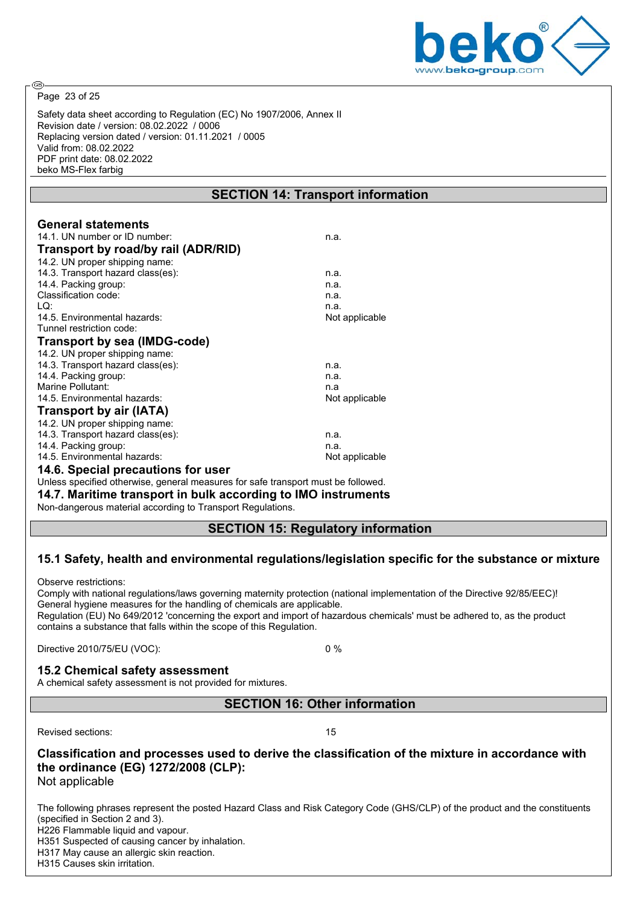

Page 23 of 25

@

Safety data sheet according to Regulation (EC) No 1907/2006, Annex II Revision date / version: 08.02.2022 / 0006 Replacing version dated / version: 01.11.2021 / 0005 Valid from: 08.02.2022 PDF print date: 08.02.2022 beko MS-Flex farbig

## **SECTION 14: Transport information**

| <b>General statements</b>           |                |
|-------------------------------------|----------------|
| 14.1. UN number or ID number:       | n.a.           |
| Transport by road/by rail (ADR/RID) |                |
| 14.2. UN proper shipping name:      |                |
| 14.3. Transport hazard class(es):   | n.a.           |
| 14.4. Packing group:                | n.a.           |
| Classification code:                | n.a.           |
| LQ:                                 | n.a.           |
| 14.5. Environmental hazards:        | Not applicable |
| Tunnel restriction code:            |                |
| <b>Transport by sea (IMDG-code)</b> |                |
| 14.2. UN proper shipping name:      |                |
| 14.3. Transport hazard class(es):   | n.a.           |
| 14.4. Packing group:                | n.a.           |
| Marine Pollutant:                   | n.a            |
| 14.5. Environmental hazards:        | Not applicable |
| <b>Transport by air (IATA)</b>      |                |
| 14.2. UN proper shipping name:      |                |
| 14.3. Transport hazard class(es):   | n.a.           |
| 14.4. Packing group:                | n.a.           |
| 14.5. Environmental hazards:        | Not applicable |
| 14.6. Special precautions for user  |                |
|                                     |                |

Unless specified otherwise, general measures for safe transport must be followed.

**14.7. Maritime transport in bulk according to IMO instruments**

Non-dangerous material according to Transport Regulations.

#### **SECTION 15: Regulatory information**

#### **15.1 Safety, health and environmental regulations/legislation specific for the substance or mixture**

Observe restrictions:

Comply with national regulations/laws governing maternity protection (national implementation of the Directive 92/85/EEC)! General hygiene measures for the handling of chemicals are applicable.

Regulation (EU) No 649/2012 'concerning the export and import of hazardous chemicals' must be adhered to, as the product contains a substance that falls within the scope of this Regulation.

Directive 2010/75/EU (VOC): 0 %

#### **15.2 Chemical safety assessment**

A chemical safety assessment is not provided for mixtures.

**SECTION 16: Other information**

Revised sections: 15

**Classification and processes used to derive the classification of the mixture in accordance with the ordinance (EG) 1272/2008 (CLP):**

Not applicable

The following phrases represent the posted Hazard Class and Risk Category Code (GHS/CLP) of the product and the constituents (specified in Section 2 and 3). H226 Flammable liquid and vapour. H351 Suspected of causing cancer by inhalation.

H317 May cause an allergic skin reaction.

H315 Causes skin irritation.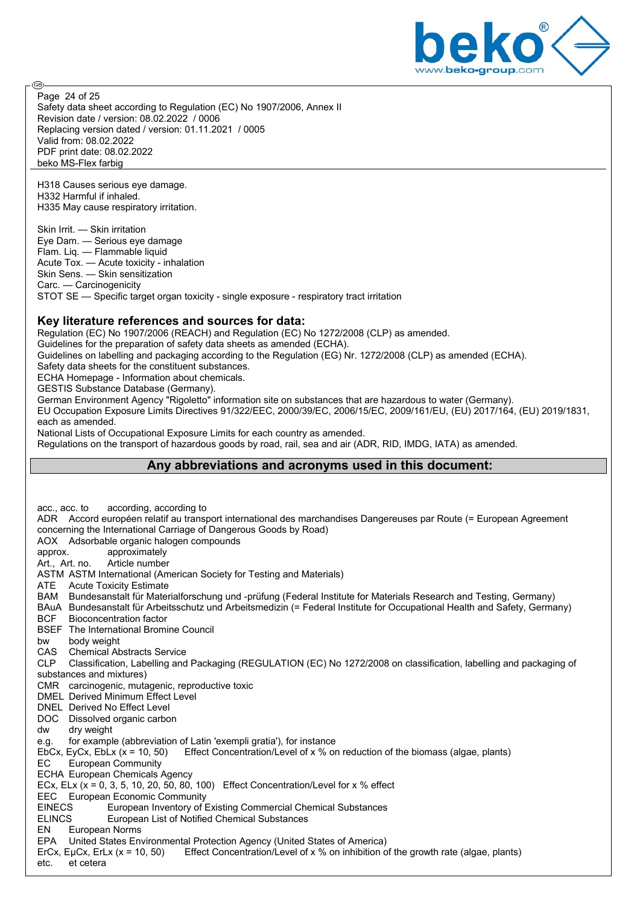

Safety data sheet according to Regulation (EC) No 1907/2006, Annex II Revision date / version: 08.02.2022 / 0006 Replacing version dated / version: 01.11.2021 / 0005 Valid from: 08.02.2022 PDF print date: 08.02.2022 beko MS-Flex farbig Page 24 of 25

H318 Causes serious eye damage. H332 Harmful if inhaled. H335 May cause respiratory irritation.

Skin Irrit. — Skin irritation Eye Dam. — Serious eye damage Flam. Liq. — Flammable liquid Acute Tox. — Acute toxicity - inhalation Skin Sens. — Skin sensitization Carc. — Carcinogenicity STOT SE — Specific target organ toxicity - single exposure - respiratory tract irritation

#### **Key literature references and sources for data:**

Regulation (EC) No 1907/2006 (REACH) and Regulation (EC) No 1272/2008 (CLP) as amended.

Guidelines for the preparation of safety data sheets as amended (ECHA).

Guidelines on labelling and packaging according to the Regulation (EG) Nr. 1272/2008 (CLP) as amended (ECHA).

Safety data sheets for the constituent substances.

ECHA Homepage - Information about chemicals.

GESTIS Substance Database (Germany).

German Environment Agency "Rigoletto" information site on substances that are hazardous to water (Germany).

EU Occupation Exposure Limits Directives 91/322/EEC, 2000/39/EC, 2006/15/EC, 2009/161/EU, (EU) 2017/164, (EU) 2019/1831, each as amended.

National Lists of Occupational Exposure Limits for each country as amended.

Regulations on the transport of hazardous goods by road, rail, sea and air (ADR, RID, IMDG, IATA) as amended.

## **Any abbreviations and acronyms used in this document:**

acc., acc. to according, according to ADR Accord européen relatif au transport international des marchandises Dangereuses par Route (= European Agreement concerning the International Carriage of Dangerous Goods by Road) AOX Adsorbable organic halogen compounds approx. approximately Art., Art. no. Article number ASTM ASTM International (American Society for Testing and Materials) ATE Acute Toxicity Estimate BAM Bundesanstalt für Materialforschung und -prüfung (Federal Institute for Materials Research and Testing, Germany) BAuA Bundesanstalt für Arbeitsschutz und Arbeitsmedizin (= Federal Institute for Occupational Health and Safety, Germany) BCF Bioconcentration factor BSEF The International Bromine Council bw body weight<br>CAS Chemical Al CAS Chemical Abstracts Service<br>CLP Classification, Labelling and Classification, Labelling and Packaging (REGULATION (EC) No 1272/2008 on classification, labelling and packaging of substances and mixtures) CMR carcinogenic, mutagenic, reproductive toxic DMEL Derived Minimum Effect Level DNEL Derived No Effect Level DOC Dissolved organic carbon dw dry weight e.g. for example (abbreviation of Latin 'exempli gratia'), for instance EbCx, EyCx, EbLx (x = 10, 50) Effect Concentration/Level of x % on reduction of the biomass (algae, plants) EC European Community ECHA European Chemicals Agency ECx, ELx (x = 0, 3, 5, 10, 20, 50, 80, 100) Effect Concentration/Level for x % effect EEC European Economic Community<br>FINECS Furopean Inventory of F EINECS European Inventory of Existing Commercial Chemical Substances<br>ELINCS European List of Notified Chemical Substances ELINCS European List of Notified Chemical Substances<br>FN European Norms European Norms EPA United States Environmental Protection Agency (United States of America) ErCx, EµCx, ErLx (x = 10, 50) Effect Concentration/Level of x % on inhibition of the growth rate (algae, plants) etc. et cetera

**ි**